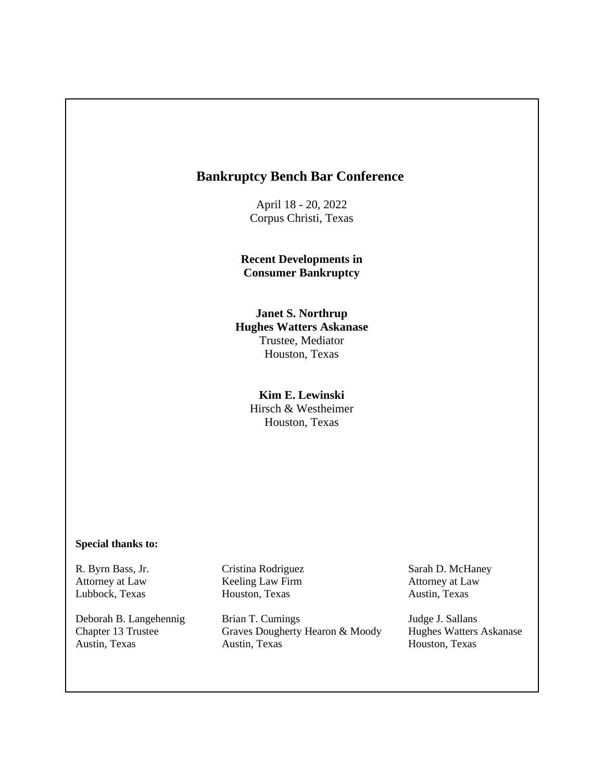# **Bankruptcy Bench Bar Conference**

April 18 - 20, 2022 Corpus Christi, Texas

**Recent Developments in Consumer Bankruptcy** 

### **Janet S. Northrup Hughes Watters Askanase**  Trustee, Mediator Houston, Texas

### **Kim E. Lewinski**  Hirsch & Westheimer Houston, Texas

#### **Special thanks to:**

Lubbock, Texas Houston, Texas Austin, Texas

R. Byrn Bass, Jr. Cristina Rodriguez Sarah D. McHaney Attorney at Law Keeling Law Firm Attorney at Law

Deborah B. Langehennig Brian T. Cumings Judge J. Sallans Chapter 13 Trustee Graves Dougherty Hearon & Moody Hughes Watters Askanase Austin, Texas Austin, Texas Houston, Texas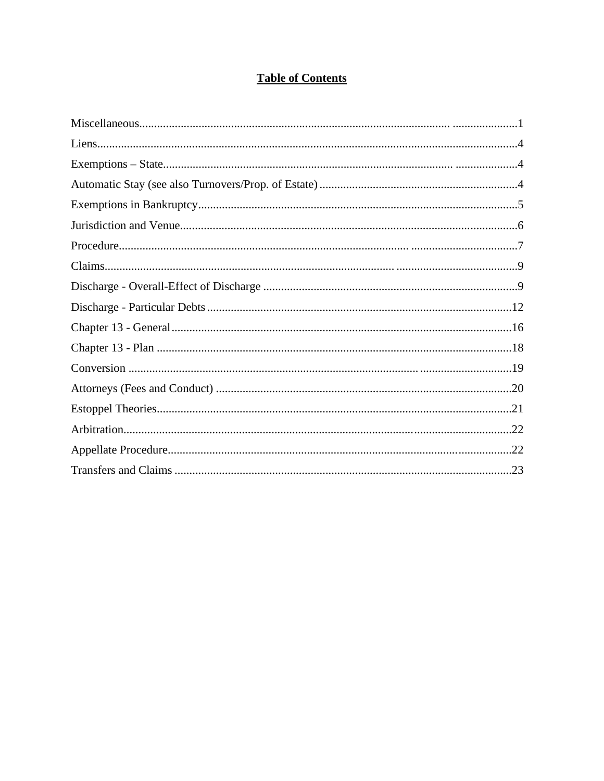# **Table of Contents**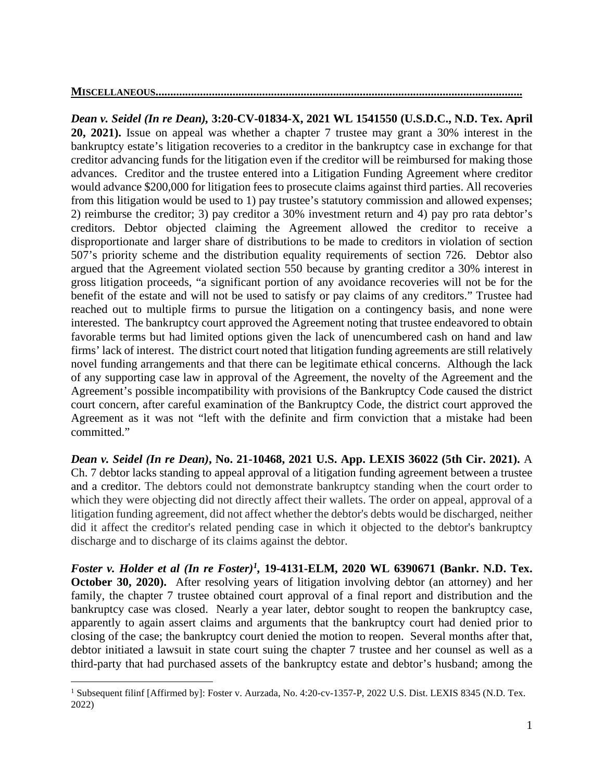# **MISCELLANEOUS........................**

*Dean v. Seidel (In re Dean),* **3:20-CV-01834-X, 2021 WL 1541550 (U.S.D.C., N.D. Tex. April 20, 2021).** Issue on appeal was whether a chapter 7 trustee may grant a 30% interest in the bankruptcy estate's litigation recoveries to a creditor in the bankruptcy case in exchange for that creditor advancing funds for the litigation even if the creditor will be reimbursed for making those advances.Creditor and the trustee entered into a Litigation Funding Agreement where creditor would advance \$200,000 for litigation fees to prosecute claims against third parties. All recoveries from this litigation would be used to 1) pay trustee's statutory commission and allowed expenses; 2) reimburse the creditor; 3) pay creditor a 30% investment return and 4) pay pro rata debtor's creditors. Debtor objected claiming the Agreement allowed the creditor to receive a disproportionate and larger share of distributions to be made to creditors in violation of section 507's priority scheme and the distribution equality requirements of section 726. Debtor also argued that the Agreement violated section 550 because by granting creditor a 30% interest in gross litigation proceeds, "a significant portion of any avoidance recoveries will not be for the benefit of the estate and will not be used to satisfy or pay claims of any creditors." Trustee had reached out to multiple firms to pursue the litigation on a contingency basis, and none were interested. The bankruptcy court approved the Agreement noting that trustee endeavored to obtain favorable terms but had limited options given the lack of unencumbered cash on hand and law firms' lack of interest. The district court noted that litigation funding agreements are still relatively novel funding arrangements and that there can be legitimate ethical concerns. Although the lack of any supporting case law in approval of the Agreement, the novelty of the Agreement and the Agreement's possible incompatibility with provisions of the Bankruptcy Code caused the district court concern, after careful examination of the Bankruptcy Code, the district court approved the Agreement as it was not "left with the definite and firm conviction that a mistake had been committed."

*Dean v. Seidel (In re Dean)***, No. 21-10468, 2021 U.S. App. LEXIS 36022 (5th Cir. 2021).** A Ch. 7 debtor lacks standing to appeal approval of a litigation funding agreement between a trustee and a creditor. The debtors could not demonstrate bankruptcy standing when the court order to which they were objecting did not directly affect their wallets. The order on appeal, approval of a litigation funding agreement, did not affect whether the debtor's debts would be discharged, neither did it affect the creditor's related pending case in which it objected to the debtor's bankruptcy discharge and to discharge of its claims against the debtor.

*Foster v. Holder et al (In re Foster)1,* **19-4131-ELM, 2020 WL 6390671 (Bankr. N.D. Tex. October 30, 2020).** After resolving years of litigation involving debtor (an attorney) and her family, the chapter 7 trustee obtained court approval of a final report and distribution and the bankruptcy case was closed. Nearly a year later, debtor sought to reopen the bankruptcy case, apparently to again assert claims and arguments that the bankruptcy court had denied prior to closing of the case; the bankruptcy court denied the motion to reopen. Several months after that, debtor initiated a lawsuit in state court suing the chapter 7 trustee and her counsel as well as a third-party that had purchased assets of the bankruptcy estate and debtor's husband; among the

<sup>&</sup>lt;sup>1</sup> Subsequent filinf [Affirmed by]: Foster v. Aurzada, No. 4:20-cv-1357-P, 2022 U.S. Dist. LEXIS 8345 (N.D. Tex. 2022)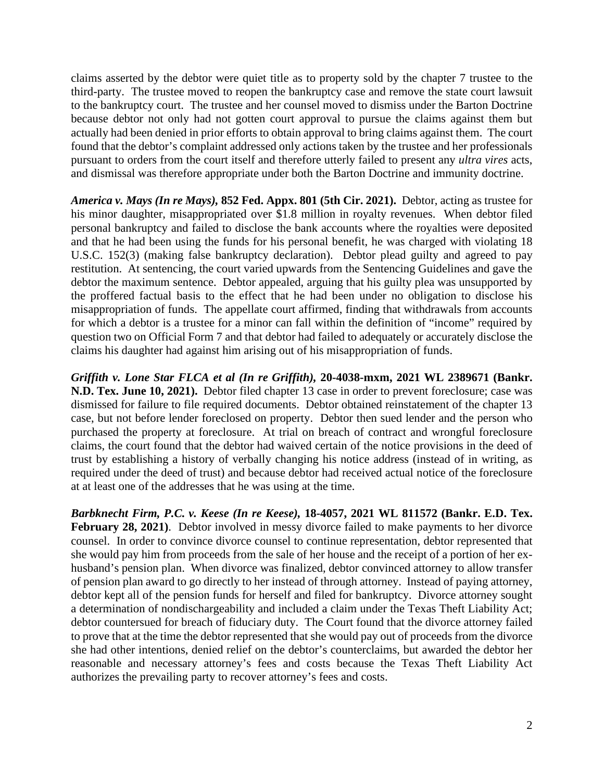claims asserted by the debtor were quiet title as to property sold by the chapter 7 trustee to the third-party. The trustee moved to reopen the bankruptcy case and remove the state court lawsuit to the bankruptcy court. The trustee and her counsel moved to dismiss under the Barton Doctrine because debtor not only had not gotten court approval to pursue the claims against them but actually had been denied in prior efforts to obtain approval to bring claims against them. The court found that the debtor's complaint addressed only actions taken by the trustee and her professionals pursuant to orders from the court itself and therefore utterly failed to present any *ultra vires* acts, and dismissal was therefore appropriate under both the Barton Doctrine and immunity doctrine.

*America v. Mays (In re Mays),* **852 Fed. Appx. 801 (5th Cir. 2021).** Debtor, acting as trustee for his minor daughter, misappropriated over \$1.8 million in royalty revenues. When debtor filed personal bankruptcy and failed to disclose the bank accounts where the royalties were deposited and that he had been using the funds for his personal benefit, he was charged with violating 18 U.S.C. 152(3) (making false bankruptcy declaration). Debtor plead guilty and agreed to pay restitution. At sentencing, the court varied upwards from the Sentencing Guidelines and gave the debtor the maximum sentence. Debtor appealed, arguing that his guilty plea was unsupported by the proffered factual basis to the effect that he had been under no obligation to disclose his misappropriation of funds. The appellate court affirmed, finding that withdrawals from accounts for which a debtor is a trustee for a minor can fall within the definition of "income" required by question two on Official Form 7 and that debtor had failed to adequately or accurately disclose the claims his daughter had against him arising out of his misappropriation of funds.

*Griffith v. Lone Star FLCA et al (In re Griffith),* **20-4038-mxm, 2021 WL 2389671 (Bankr. N.D. Tex. June 10, 2021).** Debtor filed chapter 13 case in order to prevent foreclosure; case was dismissed for failure to file required documents. Debtor obtained reinstatement of the chapter 13 case, but not before lender foreclosed on property. Debtor then sued lender and the person who purchased the property at foreclosure. At trial on breach of contract and wrongful foreclosure claims, the court found that the debtor had waived certain of the notice provisions in the deed of trust by establishing a history of verbally changing his notice address (instead of in writing, as required under the deed of trust) and because debtor had received actual notice of the foreclosure at at least one of the addresses that he was using at the time.

*Barbknecht Firm, P.C. v. Keese (In re Keese),* **18-4057, 2021 WL 811572 (Bankr. E.D. Tex.**  February 28, 2021). Debtor involved in messy divorce failed to make payments to her divorce counsel. In order to convince divorce counsel to continue representation, debtor represented that she would pay him from proceeds from the sale of her house and the receipt of a portion of her exhusband's pension plan. When divorce was finalized, debtor convinced attorney to allow transfer of pension plan award to go directly to her instead of through attorney. Instead of paying attorney, debtor kept all of the pension funds for herself and filed for bankruptcy. Divorce attorney sought a determination of nondischargeability and included a claim under the Texas Theft Liability Act; debtor countersued for breach of fiduciary duty. The Court found that the divorce attorney failed to prove that at the time the debtor represented that she would pay out of proceeds from the divorce she had other intentions, denied relief on the debtor's counterclaims, but awarded the debtor her reasonable and necessary attorney's fees and costs because the Texas Theft Liability Act authorizes the prevailing party to recover attorney's fees and costs.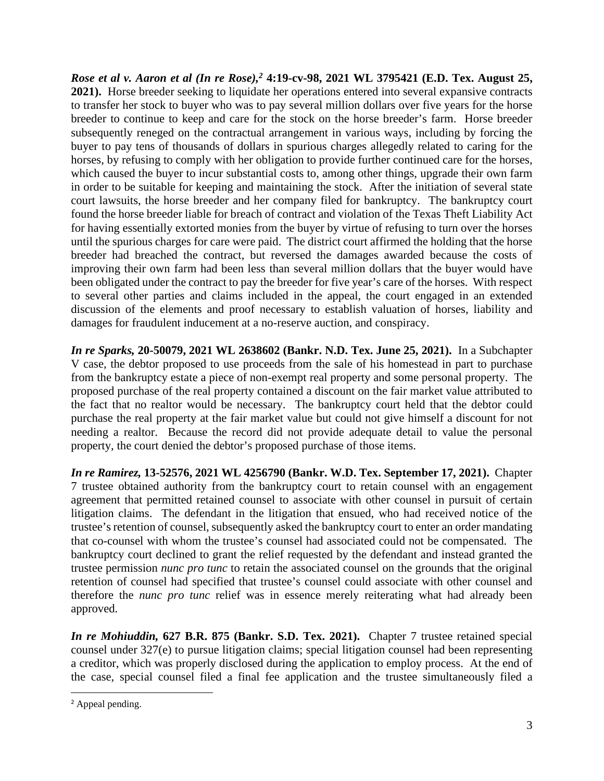*Rose et al v. Aaron et al (In re Rose),2* **4:19-cv-98, 2021 WL 3795421 (E.D. Tex. August 25, 2021).** Horse breeder seeking to liquidate her operations entered into several expansive contracts to transfer her stock to buyer who was to pay several million dollars over five years for the horse breeder to continue to keep and care for the stock on the horse breeder's farm. Horse breeder subsequently reneged on the contractual arrangement in various ways, including by forcing the buyer to pay tens of thousands of dollars in spurious charges allegedly related to caring for the horses, by refusing to comply with her obligation to provide further continued care for the horses, which caused the buyer to incur substantial costs to, among other things, upgrade their own farm in order to be suitable for keeping and maintaining the stock. After the initiation of several state court lawsuits, the horse breeder and her company filed for bankruptcy. The bankruptcy court found the horse breeder liable for breach of contract and violation of the Texas Theft Liability Act for having essentially extorted monies from the buyer by virtue of refusing to turn over the horses until the spurious charges for care were paid. The district court affirmed the holding that the horse breeder had breached the contract, but reversed the damages awarded because the costs of improving their own farm had been less than several million dollars that the buyer would have been obligated under the contract to pay the breeder for five year's care of the horses. With respect to several other parties and claims included in the appeal, the court engaged in an extended discussion of the elements and proof necessary to establish valuation of horses, liability and damages for fraudulent inducement at a no-reserve auction, and conspiracy.

*In re Sparks,* **20-50079, 2021 WL 2638602 (Bankr. N.D. Tex. June 25, 2021).** In a Subchapter V case, the debtor proposed to use proceeds from the sale of his homestead in part to purchase from the bankruptcy estate a piece of non-exempt real property and some personal property. The proposed purchase of the real property contained a discount on the fair market value attributed to the fact that no realtor would be necessary. The bankruptcy court held that the debtor could purchase the real property at the fair market value but could not give himself a discount for not needing a realtor. Because the record did not provide adequate detail to value the personal property, the court denied the debtor's proposed purchase of those items.

*In re Ramirez,* **13-52576, 2021 WL 4256790 (Bankr. W.D. Tex. September 17, 2021).** Chapter 7 trustee obtained authority from the bankruptcy court to retain counsel with an engagement agreement that permitted retained counsel to associate with other counsel in pursuit of certain litigation claims. The defendant in the litigation that ensued, who had received notice of the trustee's retention of counsel, subsequently asked the bankruptcy court to enter an order mandating that co-counsel with whom the trustee's counsel had associated could not be compensated. The bankruptcy court declined to grant the relief requested by the defendant and instead granted the trustee permission *nunc pro tunc* to retain the associated counsel on the grounds that the original retention of counsel had specified that trustee's counsel could associate with other counsel and therefore the *nunc pro tunc* relief was in essence merely reiterating what had already been approved.

*In re Mohiuddin,* **627 B.R. 875 (Bankr. S.D. Tex. 2021).** Chapter 7 trustee retained special counsel under 327(e) to pursue litigation claims; special litigation counsel had been representing a creditor, which was properly disclosed during the application to employ process. At the end of the case, special counsel filed a final fee application and the trustee simultaneously filed a

<sup>&</sup>lt;sup>2</sup> Appeal pending.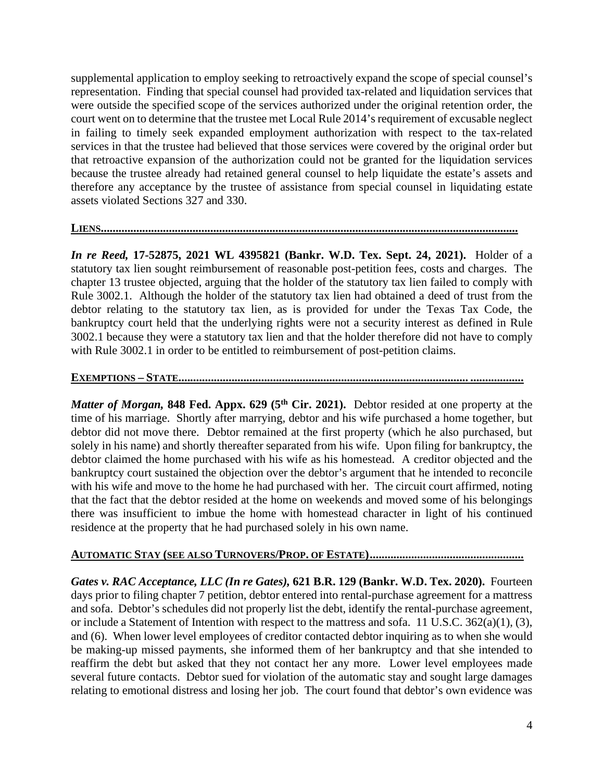supplemental application to employ seeking to retroactively expand the scope of special counsel's representation. Finding that special counsel had provided tax-related and liquidation services that were outside the specified scope of the services authorized under the original retention order, the court went on to determine that the trustee met Local Rule 2014's requirement of excusable neglect in failing to timely seek expanded employment authorization with respect to the tax-related services in that the trustee had believed that those services were covered by the original order but that retroactive expansion of the authorization could not be granted for the liquidation services because the trustee already had retained general counsel to help liquidate the estate's assets and therefore any acceptance by the trustee of assistance from special counsel in liquidating estate assets violated Sections 327 and 330.

#### **LIENS.............................................................................................................................................**

*In re Reed,* **17-52875, 2021 WL 4395821 (Bankr. W.D. Tex. Sept. 24, 2021).** Holder of a statutory tax lien sought reimbursement of reasonable post-petition fees, costs and charges. The chapter 13 trustee objected, arguing that the holder of the statutory tax lien failed to comply with Rule 3002.1. Although the holder of the statutory tax lien had obtained a deed of trust from the debtor relating to the statutory tax lien, as is provided for under the Texas Tax Code, the bankruptcy court held that the underlying rights were not a security interest as defined in Rule 3002.1 because they were a statutory tax lien and that the holder therefore did not have to comply with Rule 3002.1 in order to be entitled to reimbursement of post-petition claims.

## **EXEMPTIONS – STATE.................................................................................................. ..................**

*Matter of Morgan,* 848 Fed. Appx. 629 (5<sup>th</sup> Cir. 2021). Debtor resided at one property at the time of his marriage. Shortly after marrying, debtor and his wife purchased a home together, but debtor did not move there. Debtor remained at the first property (which he also purchased, but solely in his name) and shortly thereafter separated from his wife. Upon filing for bankruptcy, the debtor claimed the home purchased with his wife as his homestead. A creditor objected and the bankruptcy court sustained the objection over the debtor's argument that he intended to reconcile with his wife and move to the home he had purchased with her. The circuit court affirmed, noting that the fact that the debtor resided at the home on weekends and moved some of his belongings there was insufficient to imbue the home with homestead character in light of his continued residence at the property that he had purchased solely in his own name.

### **AUTOMATIC STAY (SEE ALSO TURNOVERS/PROP. OF ESTATE) ....................................................**

*Gates v. RAC Acceptance, LLC (In re Gates),* **621 B.R. 129 (Bankr. W.D. Tex. 2020).** Fourteen days prior to filing chapter 7 petition, debtor entered into rental-purchase agreement for a mattress and sofa. Debtor's schedules did not properly list the debt, identify the rental-purchase agreement, or include a Statement of Intention with respect to the mattress and sofa. 11 U.S.C. 362(a)(1), (3), and (6). When lower level employees of creditor contacted debtor inquiring as to when she would be making-up missed payments, she informed them of her bankruptcy and that she intended to reaffirm the debt but asked that they not contact her any more. Lower level employees made several future contacts. Debtor sued for violation of the automatic stay and sought large damages relating to emotional distress and losing her job. The court found that debtor's own evidence was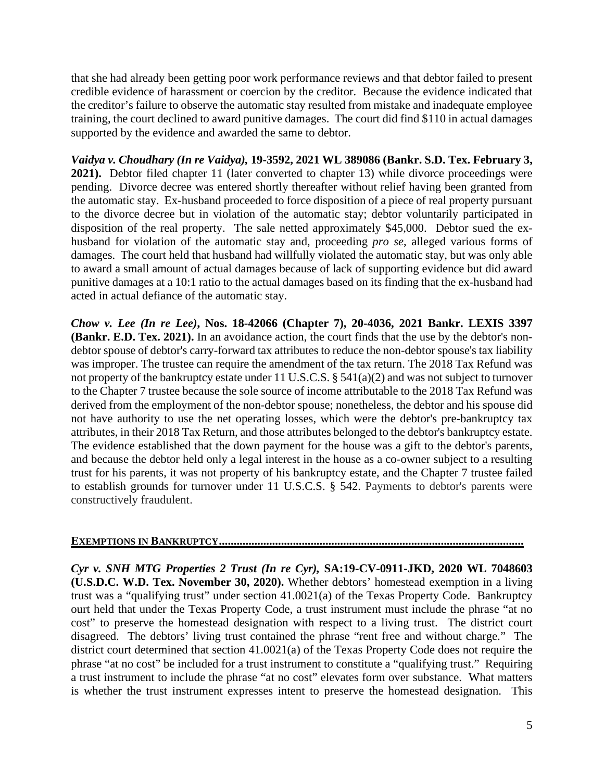that she had already been getting poor work performance reviews and that debtor failed to present credible evidence of harassment or coercion by the creditor. Because the evidence indicated that the creditor's failure to observe the automatic stay resulted from mistake and inadequate employee training, the court declined to award punitive damages. The court did find \$110 in actual damages supported by the evidence and awarded the same to debtor.

*Vaidya v. Choudhary (In re Vaidya),* **19-3592, 2021 WL 389086 (Bankr. S.D. Tex. February 3, 2021).** Debtor filed chapter 11 (later converted to chapter 13) while divorce proceedings were pending. Divorce decree was entered shortly thereafter without relief having been granted from the automatic stay. Ex-husband proceeded to force disposition of a piece of real property pursuant to the divorce decree but in violation of the automatic stay; debtor voluntarily participated in disposition of the real property. The sale netted approximately \$45,000. Debtor sued the exhusband for violation of the automatic stay and, proceeding *pro se*, alleged various forms of damages. The court held that husband had willfully violated the automatic stay, but was only able to award a small amount of actual damages because of lack of supporting evidence but did award punitive damages at a 10:1 ratio to the actual damages based on its finding that the ex-husband had acted in actual defiance of the automatic stay.

*Chow v. Lee (In re Lee)***, Nos. 18-42066 (Chapter 7), 20-4036, 2021 Bankr. LEXIS 3397 (Bankr. E.D. Tex. 2021).** In an avoidance action, the court finds that the use by the debtor's nondebtor spouse of debtor's carry-forward tax attributes to reduce the non-debtor spouse's tax liability was improper. The trustee can require the amendment of the tax return. The 2018 Tax Refund was not property of the bankruptcy estate under 11 U.S.C.S. § 541(a)(2) and was not subject to turnover to the Chapter 7 trustee because the sole source of income attributable to the 2018 Tax Refund was derived from the employment of the non-debtor spouse; nonetheless, the debtor and his spouse did not have authority to use the net operating losses, which were the debtor's pre-bankruptcy tax attributes, in their 2018 Tax Return, and those attributes belonged to the debtor's bankruptcy estate. The evidence established that the down payment for the house was a gift to the debtor's parents, and because the debtor held only a legal interest in the house as a co-owner subject to a resulting trust for his parents, it was not property of his bankruptcy estate, and the Chapter 7 trustee failed to establish grounds for turnover under 11 U.S.C.S. § 542. Payments to debtor's parents were constructively fraudulent.

### **EXEMPTIONS IN BANKRUPTCY .......................................................................................................**

*Cyr v. SNH MTG Properties 2 Trust (In re Cyr),* **SA:19-CV-0911-JKD, 2020 WL 7048603 (U.S.D.C. W.D. Tex. November 30, 2020).** Whether debtors' homestead exemption in a living trust was a "qualifying trust" under section 41.0021(a) of the Texas Property Code.Bankruptcy ourt held that under the Texas Property Code, a trust instrument must include the phrase "at no cost" to preserve the homestead designation with respect to a living trust. The district court disagreed. The debtors' living trust contained the phrase "rent free and without charge." The district court determined that section 41.0021(a) of the Texas Property Code does not require the phrase "at no cost" be included for a trust instrument to constitute a "qualifying trust." Requiring a trust instrument to include the phrase "at no cost" elevates form over substance. What matters is whether the trust instrument expresses intent to preserve the homestead designation. This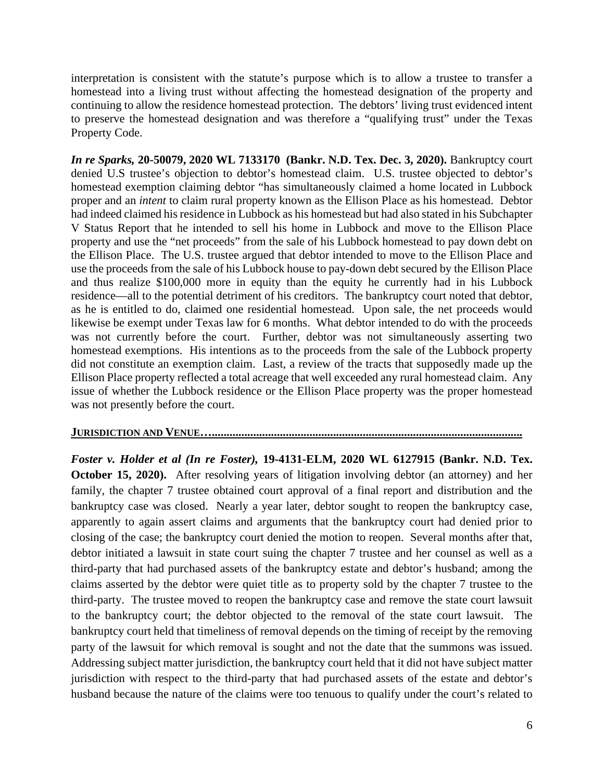interpretation is consistent with the statute's purpose which is to allow a trustee to transfer a homestead into a living trust without affecting the homestead designation of the property and continuing to allow the residence homestead protection. The debtors' living trust evidenced intent to preserve the homestead designation and was therefore a "qualifying trust" under the Texas Property Code.

*In re Sparks,* **20-50079, 2020 WL 7133170 (Bankr. N.D. Tex. Dec. 3, 2020).** Bankruptcy court denied U.S trustee's objection to debtor's homestead claim.U.S. trustee objected to debtor's homestead exemption claiming debtor "has simultaneously claimed a home located in Lubbock proper and an *intent* to claim rural property known as the Ellison Place as his homestead. Debtor had indeed claimed his residence in Lubbock as his homestead but had also stated in his Subchapter V Status Report that he intended to sell his home in Lubbock and move to the Ellison Place property and use the "net proceeds" from the sale of his Lubbock homestead to pay down debt on the Ellison Place. The U.S. trustee argued that debtor intended to move to the Ellison Place and use the proceeds from the sale of his Lubbock house to pay-down debt secured by the Ellison Place and thus realize \$100,000 more in equity than the equity he currently had in his Lubbock residence—all to the potential detriment of his creditors. The bankruptcy court noted that debtor, as he is entitled to do, claimed one residential homestead. Upon sale, the net proceeds would likewise be exempt under Texas law for 6 months. What debtor intended to do with the proceeds was not currently before the court. Further, debtor was not simultaneously asserting two homestead exemptions. His intentions as to the proceeds from the sale of the Lubbock property did not constitute an exemption claim. Last, a review of the tracts that supposedly made up the Ellison Place property reflected a total acreage that well exceeded any rural homestead claim. Any issue of whether the Lubbock residence or the Ellison Place property was the proper homestead was not presently before the court.

#### **JURISDICTION AND VENUE….........................................................................................................**

*Foster v. Holder et al (In re Foster),* **19-4131-ELM, 2020 WL 6127915 (Bankr. N.D. Tex. October 15, 2020).** After resolving years of litigation involving debtor (an attorney) and her family, the chapter 7 trustee obtained court approval of a final report and distribution and the bankruptcy case was closed. Nearly a year later, debtor sought to reopen the bankruptcy case, apparently to again assert claims and arguments that the bankruptcy court had denied prior to closing of the case; the bankruptcy court denied the motion to reopen. Several months after that, debtor initiated a lawsuit in state court suing the chapter 7 trustee and her counsel as well as a third-party that had purchased assets of the bankruptcy estate and debtor's husband; among the claims asserted by the debtor were quiet title as to property sold by the chapter 7 trustee to the third-party. The trustee moved to reopen the bankruptcy case and remove the state court lawsuit to the bankruptcy court; the debtor objected to the removal of the state court lawsuit. The bankruptcy court held that timeliness of removal depends on the timing of receipt by the removing party of the lawsuit for which removal is sought and not the date that the summons was issued. Addressing subject matter jurisdiction, the bankruptcy court held that it did not have subject matter jurisdiction with respect to the third-party that had purchased assets of the estate and debtor's husband because the nature of the claims were too tenuous to qualify under the court's related to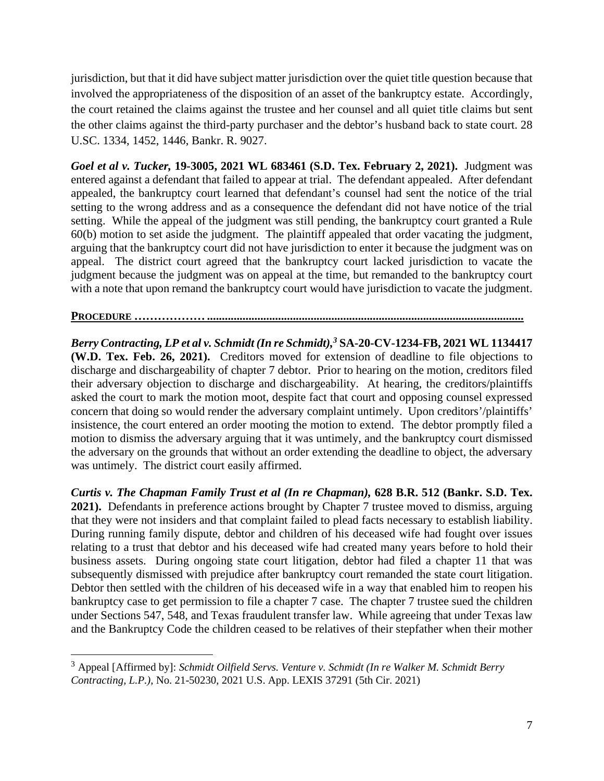jurisdiction, but that it did have subject matter jurisdiction over the quiet title question because that involved the appropriateness of the disposition of an asset of the bankruptcy estate. Accordingly, the court retained the claims against the trustee and her counsel and all quiet title claims but sent the other claims against the third-party purchaser and the debtor's husband back to state court. 28 U.SC. 1334, 1452, 1446, Bankr. R. 9027.

*Goel et al v. Tucker,* **19-3005, 2021 WL 683461 (S.D. Tex. February 2, 2021).** Judgment was entered against a defendant that failed to appear at trial. The defendant appealed. After defendant appealed, the bankruptcy court learned that defendant's counsel had sent the notice of the trial setting to the wrong address and as a consequence the defendant did not have notice of the trial setting. While the appeal of the judgment was still pending, the bankruptcy court granted a Rule 60(b) motion to set aside the judgment. The plaintiff appealed that order vacating the judgment, arguing that the bankruptcy court did not have jurisdiction to enter it because the judgment was on appeal. The district court agreed that the bankruptcy court lacked jurisdiction to vacate the judgment because the judgment was on appeal at the time, but remanded to the bankruptcy court with a note that upon remand the bankruptcy court would have jurisdiction to vacate the judgment.

#### **PROCEDURE ……………… ...........................................................................................................**

*Berry Contracting, LP et al v. Schmidt (In re Schmidt),3* **SA-20-CV-1234-FB, 2021 WL 1134417 (W.D. Tex. Feb. 26, 2021).** Creditors moved for extension of deadline to file objections to discharge and dischargeability of chapter 7 debtor. Prior to hearing on the motion, creditors filed their adversary objection to discharge and dischargeability. At hearing, the creditors/plaintiffs asked the court to mark the motion moot, despite fact that court and opposing counsel expressed concern that doing so would render the adversary complaint untimely. Upon creditors'/plaintiffs' insistence, the court entered an order mooting the motion to extend. The debtor promptly filed a motion to dismiss the adversary arguing that it was untimely, and the bankruptcy court dismissed the adversary on the grounds that without an order extending the deadline to object, the adversary was untimely. The district court easily affirmed.

*Curtis v. The Chapman Family Trust et al (In re Chapman),* **628 B.R. 512 (Bankr. S.D. Tex. 2021).** Defendants in preference actions brought by Chapter 7 trustee moved to dismiss, arguing that they were not insiders and that complaint failed to plead facts necessary to establish liability. During running family dispute, debtor and children of his deceased wife had fought over issues relating to a trust that debtor and his deceased wife had created many years before to hold their business assets. During ongoing state court litigation, debtor had filed a chapter 11 that was subsequently dismissed with prejudice after bankruptcy court remanded the state court litigation. Debtor then settled with the children of his deceased wife in a way that enabled him to reopen his bankruptcy case to get permission to file a chapter 7 case. The chapter 7 trustee sued the children under Sections 547, 548, and Texas fraudulent transfer law. While agreeing that under Texas law and the Bankruptcy Code the children ceased to be relatives of their stepfather when their mother

<sup>3</sup> Appeal [Affirmed by]: *Schmidt Oilfield Servs. Venture v. Schmidt (In re Walker M. Schmidt Berry Contracting, L.P.)*, No. 21-50230, 2021 U.S. App. LEXIS 37291 (5th Cir. 2021)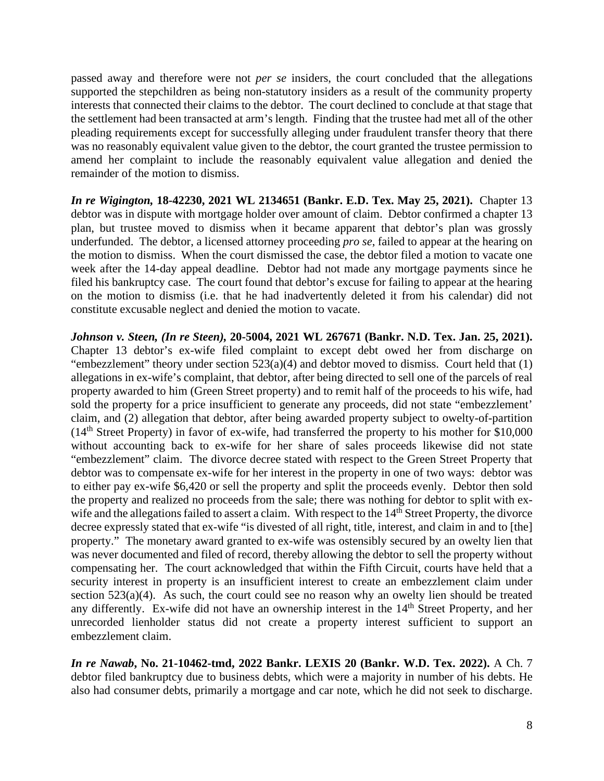passed away and therefore were not *per se* insiders, the court concluded that the allegations supported the stepchildren as being non-statutory insiders as a result of the community property interests that connected their claims to the debtor. The court declined to conclude at that stage that the settlement had been transacted at arm's length. Finding that the trustee had met all of the other pleading requirements except for successfully alleging under fraudulent transfer theory that there was no reasonably equivalent value given to the debtor, the court granted the trustee permission to amend her complaint to include the reasonably equivalent value allegation and denied the remainder of the motion to dismiss.

*In re Wigington,* **18-42230, 2021 WL 2134651 (Bankr. E.D. Tex. May 25, 2021).** Chapter 13 debtor was in dispute with mortgage holder over amount of claim. Debtor confirmed a chapter 13 plan, but trustee moved to dismiss when it became apparent that debtor's plan was grossly underfunded. The debtor, a licensed attorney proceeding *pro se*, failed to appear at the hearing on the motion to dismiss. When the court dismissed the case, the debtor filed a motion to vacate one week after the 14-day appeal deadline. Debtor had not made any mortgage payments since he filed his bankruptcy case. The court found that debtor's excuse for failing to appear at the hearing on the motion to dismiss (i.e. that he had inadvertently deleted it from his calendar) did not constitute excusable neglect and denied the motion to vacate.

*Johnson v. Steen, (In re Steen),* **20-5004, 2021 WL 267671 (Bankr. N.D. Tex. Jan. 25, 2021).**  Chapter 13 debtor's ex-wife filed complaint to except debt owed her from discharge on "embezzlement" theory under section 523(a)(4) and debtor moved to dismiss.Court held that (1) allegations in ex-wife's complaint, that debtor, after being directed to sell one of the parcels of real property awarded to him (Green Street property) and to remit half of the proceeds to his wife, had sold the property for a price insufficient to generate any proceeds, did not state "embezzlement' claim, and (2) allegation that debtor, after being awarded property subject to owelty-of-partition  $(14<sup>th</sup> Street Property)$  in favor of ex-wife, had transferred the property to his mother for \$10,000 without accounting back to ex-wife for her share of sales proceeds likewise did not state "embezzlement" claim. The divorce decree stated with respect to the Green Street Property that debtor was to compensate ex-wife for her interest in the property in one of two ways: debtor was to either pay ex-wife \$6,420 or sell the property and split the proceeds evenly. Debtor then sold the property and realized no proceeds from the sale; there was nothing for debtor to split with exwife and the allegations failed to assert a claim. With respect to the  $14<sup>th</sup>$  Street Property, the divorce decree expressly stated that ex-wife "is divested of all right, title, interest, and claim in and to [the] property." The monetary award granted to ex-wife was ostensibly secured by an owelty lien that was never documented and filed of record, thereby allowing the debtor to sell the property without compensating her. The court acknowledged that within the Fifth Circuit, courts have held that a security interest in property is an insufficient interest to create an embezzlement claim under section 523(a)(4). As such, the court could see no reason why an owelty lien should be treated any differently. Ex-wife did not have an ownership interest in the 14<sup>th</sup> Street Property, and her unrecorded lienholder status did not create a property interest sufficient to support an embezzlement claim.

*In re Nawab***, No. 21-10462-tmd, 2022 Bankr. LEXIS 20 (Bankr. W.D. Tex. 2022).** A Ch. 7 debtor filed bankruptcy due to business debts, which were a majority in number of his debts. He also had consumer debts, primarily a mortgage and car note, which he did not seek to discharge.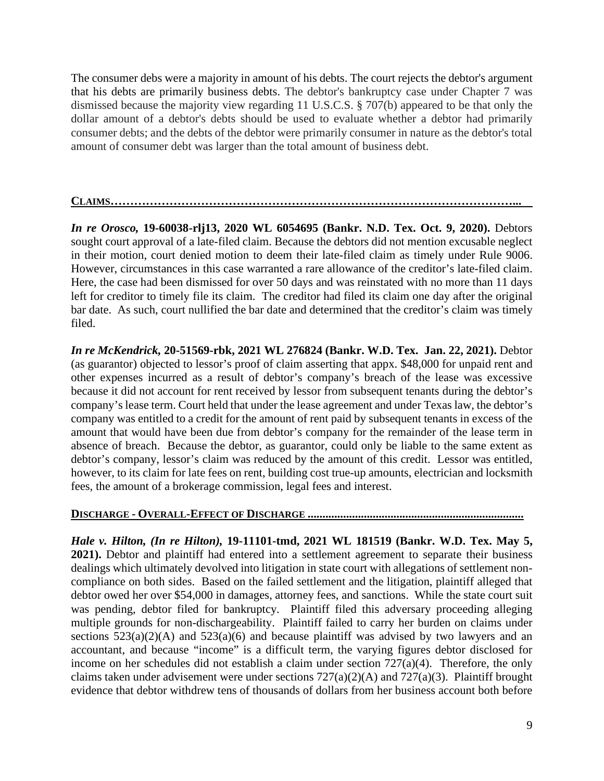The consumer debs were a majority in amount of his debts. The court rejects the debtor's argument that his debts are primarily business debts. The debtor's bankruptcy case under Chapter 7 was dismissed because the majority view regarding 11 U.S.C.S. § 707(b) appeared to be that only the dollar amount of a debtor's debts should be used to evaluate whether a debtor had primarily consumer debts; and the debts of the debtor were primarily consumer in nature as the debtor's total amount of consumer debt was larger than the total amount of business debt.

**CLAIMS…………………………………………………………………………………………...** 

*In re Orosco,* **19-60038-rlj13, 2020 WL 6054695 (Bankr. N.D. Tex. Oct. 9, 2020).** Debtors sought court approval of a late-filed claim. Because the debtors did not mention excusable neglect in their motion, court denied motion to deem their late-filed claim as timely under Rule 9006. However, circumstances in this case warranted a rare allowance of the creditor's late-filed claim. Here, the case had been dismissed for over 50 days and was reinstated with no more than 11 days left for creditor to timely file its claim. The creditor had filed its claim one day after the original bar date. As such, court nullified the bar date and determined that the creditor's claim was timely filed.

*In re McKendrick,* **20-51569-rbk, 2021 WL 276824 (Bankr. W.D. Tex. Jan. 22, 2021).** Debtor (as guarantor) objected to lessor's proof of claim asserting that appx. \$48,000 for unpaid rent and other expenses incurred as a result of debtor's company's breach of the lease was excessive because it did not account for rent received by lessor from subsequent tenants during the debtor's company's lease term. Court held that under the lease agreement and under Texas law, the debtor's company was entitled to a credit for the amount of rent paid by subsequent tenants in excess of the amount that would have been due from debtor's company for the remainder of the lease term in absence of breach. Because the debtor, as guarantor, could only be liable to the same extent as debtor's company, lessor's claim was reduced by the amount of this credit. Lessor was entitled, however, to its claim for late fees on rent, building cost true-up amounts, electrician and locksmith fees, the amount of a brokerage commission, legal fees and interest.

**DISCHARGE - OVERALL-EFFECT OF DISCHARGE .........................................................................** 

*Hale v. Hilton, (In re Hilton),* **19-11101-tmd, 2021 WL 181519 (Bankr. W.D. Tex. May 5, 2021).** Debtor and plaintiff had entered into a settlement agreement to separate their business dealings which ultimately devolved into litigation in state court with allegations of settlement noncompliance on both sides. Based on the failed settlement and the litigation, plaintiff alleged that debtor owed her over \$54,000 in damages, attorney fees, and sanctions. While the state court suit was pending, debtor filed for bankruptcy*.* Plaintiff filed this adversary proceeding alleging multiple grounds for non-dischargeability. Plaintiff failed to carry her burden on claims under sections  $523(a)(2)(A)$  and  $523(a)(6)$  and because plaintiff was advised by two lawyers and an accountant, and because "income" is a difficult term, the varying figures debtor disclosed for income on her schedules did not establish a claim under section 727(a)(4). Therefore, the only claims taken under advisement were under sections  $727(a)(2)(A)$  and  $727(a)(3)$ . Plaintiff brought evidence that debtor withdrew tens of thousands of dollars from her business account both before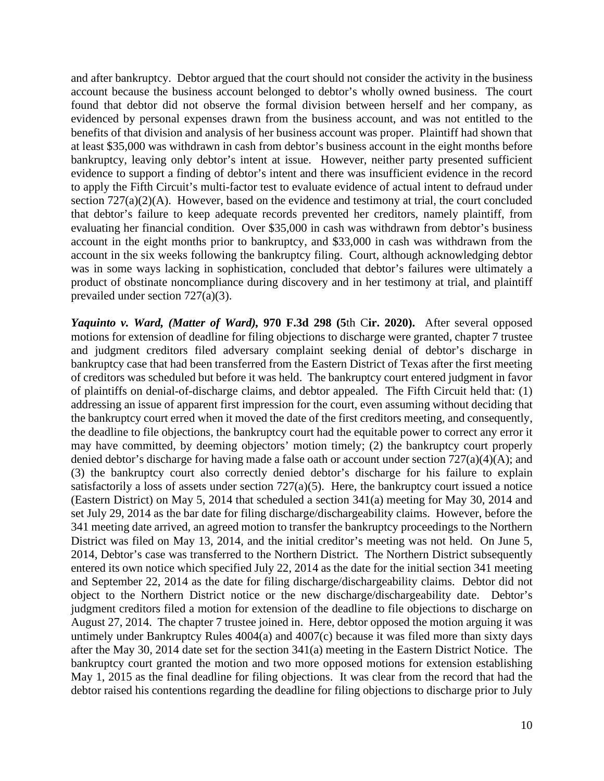and after bankruptcy. Debtor argued that the court should not consider the activity in the business account because the business account belonged to debtor's wholly owned business. The court found that debtor did not observe the formal division between herself and her company, as evidenced by personal expenses drawn from the business account, and was not entitled to the benefits of that division and analysis of her business account was proper. Plaintiff had shown that at least \$35,000 was withdrawn in cash from debtor's business account in the eight months before bankruptcy, leaving only debtor's intent at issue. However, neither party presented sufficient evidence to support a finding of debtor's intent and there was insufficient evidence in the record to apply the Fifth Circuit's multi-factor test to evaluate evidence of actual intent to defraud under section 727(a)(2)(A). However, based on the evidence and testimony at trial, the court concluded that debtor's failure to keep adequate records prevented her creditors, namely plaintiff, from evaluating her financial condition. Over \$35,000 in cash was withdrawn from debtor's business account in the eight months prior to bankruptcy, and \$33,000 in cash was withdrawn from the account in the six weeks following the bankruptcy filing. Court, although acknowledging debtor was in some ways lacking in sophistication, concluded that debtor's failures were ultimately a product of obstinate noncompliance during discovery and in her testimony at trial, and plaintiff prevailed under section 727(a)(3).

*Yaquinto v. Ward, (Matter of Ward),* **970 F.3d 298 (5**th C**ir. 2020).**After several opposed motions for extension of deadline for filing objections to discharge were granted, chapter 7 trustee and judgment creditors filed adversary complaint seeking denial of debtor's discharge in bankruptcy case that had been transferred from the Eastern District of Texas after the first meeting of creditors was scheduled but before it was held. The bankruptcy court entered judgment in favor of plaintiffs on denial-of-discharge claims, and debtor appealed. The Fifth Circuit held that: (1) addressing an issue of apparent first impression for the court, even assuming without deciding that the bankruptcy court erred when it moved the date of the first creditors meeting, and consequently, the deadline to file objections, the bankruptcy court had the equitable power to correct any error it may have committed, by deeming objectors' motion timely; (2) the bankruptcy court properly denied debtor's discharge for having made a false oath or account under section 727(a)(4)(A); and (3) the bankruptcy court also correctly denied debtor's discharge for his failure to explain satisfactorily a loss of assets under section  $727(a)(5)$ . Here, the bankruptcy court issued a notice (Eastern District) on May 5, 2014 that scheduled a section 341(a) meeting for May 30, 2014 and set July 29, 2014 as the bar date for filing discharge/dischargeability claims. However, before the 341 meeting date arrived, an agreed motion to transfer the bankruptcy proceedings to the Northern District was filed on May 13, 2014, and the initial creditor's meeting was not held. On June 5, 2014, Debtor's case was transferred to the Northern District. The Northern District subsequently entered its own notice which specified July 22, 2014 as the date for the initial section 341 meeting and September 22, 2014 as the date for filing discharge/dischargeability claims. Debtor did not object to the Northern District notice or the new discharge/dischargeability date. Debtor's judgment creditors filed a motion for extension of the deadline to file objections to discharge on August 27, 2014. The chapter 7 trustee joined in. Here, debtor opposed the motion arguing it was untimely under Bankruptcy Rules  $4004(a)$  and  $4007(c)$  because it was filed more than sixty days after the May 30, 2014 date set for the section 341(a) meeting in the Eastern District Notice. The bankruptcy court granted the motion and two more opposed motions for extension establishing May 1, 2015 as the final deadline for filing objections. It was clear from the record that had the debtor raised his contentions regarding the deadline for filing objections to discharge prior to July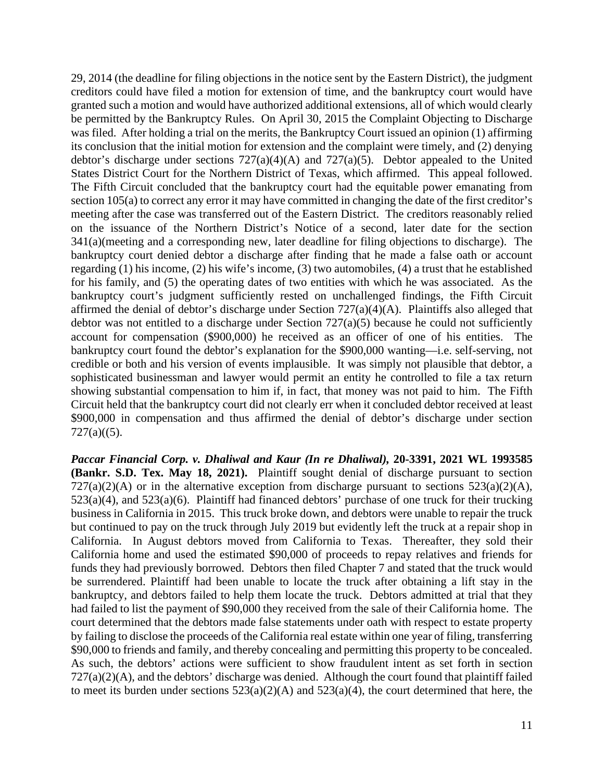29, 2014 (the deadline for filing objections in the notice sent by the Eastern District), the judgment creditors could have filed a motion for extension of time, and the bankruptcy court would have granted such a motion and would have authorized additional extensions, all of which would clearly be permitted by the Bankruptcy Rules. On April 30, 2015 the Complaint Objecting to Discharge was filed. After holding a trial on the merits, the Bankruptcy Court issued an opinion (1) affirming its conclusion that the initial motion for extension and the complaint were timely, and (2) denying debtor's discharge under sections  $727(a)(4)(A)$  and  $727(a)(5)$ . Debtor appealed to the United States District Court for the Northern District of Texas, which affirmed. This appeal followed. The Fifth Circuit concluded that the bankruptcy court had the equitable power emanating from section 105(a) to correct any error it may have committed in changing the date of the first creditor's meeting after the case was transferred out of the Eastern District. The creditors reasonably relied on the issuance of the Northern District's Notice of a second, later date for the section 341(a)(meeting and a corresponding new, later deadline for filing objections to discharge). The bankruptcy court denied debtor a discharge after finding that he made a false oath or account regarding (1) his income, (2) his wife's income, (3) two automobiles, (4) a trust that he established for his family, and (5) the operating dates of two entities with which he was associated. As the bankruptcy court's judgment sufficiently rested on unchallenged findings, the Fifth Circuit affirmed the denial of debtor's discharge under Section 727(a)(4)(A). Plaintiffs also alleged that debtor was not entitled to a discharge under Section  $727(a)(5)$  because he could not sufficiently account for compensation (\$900,000) he received as an officer of one of his entities. The bankruptcy court found the debtor's explanation for the \$900,000 wanting—i.e. self-serving, not credible or both and his version of events implausible. It was simply not plausible that debtor, a sophisticated businessman and lawyer would permit an entity he controlled to file a tax return showing substantial compensation to him if, in fact, that money was not paid to him. The Fifth Circuit held that the bankruptcy court did not clearly err when it concluded debtor received at least \$900,000 in compensation and thus affirmed the denial of debtor's discharge under section  $727(a)((5).$ 

*Paccar Financial Corp. v. Dhaliwal and Kaur (In re Dhaliwal),* **20-3391, 2021 WL 1993585 (Bankr. S.D. Tex. May 18, 2021).** Plaintiff sought denial of discharge pursuant to section  $727(a)(2)(A)$  or in the alternative exception from discharge pursuant to sections  $523(a)(2)(A)$ , 523(a)(4), and 523(a)(6). Plaintiff had financed debtors' purchase of one truck for their trucking business in California in 2015. This truck broke down, and debtors were unable to repair the truck but continued to pay on the truck through July 2019 but evidently left the truck at a repair shop in California. In August debtors moved from California to Texas. Thereafter, they sold their California home and used the estimated \$90,000 of proceeds to repay relatives and friends for funds they had previously borrowed. Debtors then filed Chapter 7 and stated that the truck would be surrendered. Plaintiff had been unable to locate the truck after obtaining a lift stay in the bankruptcy, and debtors failed to help them locate the truck. Debtors admitted at trial that they had failed to list the payment of \$90,000 they received from the sale of their California home. The court determined that the debtors made false statements under oath with respect to estate property by failing to disclose the proceeds of the California real estate within one year of filing, transferring \$90,000 to friends and family, and thereby concealing and permitting this property to be concealed. As such, the debtors' actions were sufficient to show fraudulent intent as set forth in section  $727(a)(2)(A)$ , and the debtors' discharge was denied. Although the court found that plaintiff failed to meet its burden under sections  $523(a)(2)(A)$  and  $523(a)(4)$ , the court determined that here, the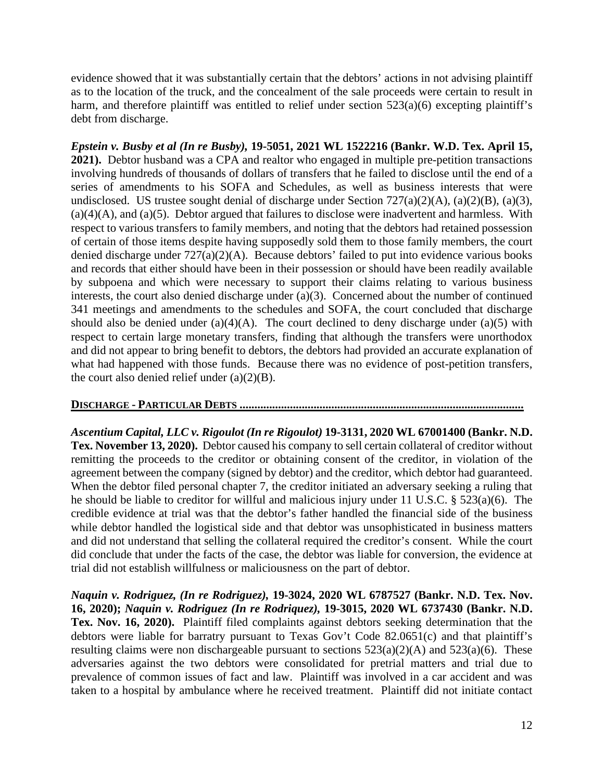evidence showed that it was substantially certain that the debtors' actions in not advising plaintiff as to the location of the truck, and the concealment of the sale proceeds were certain to result in harm, and therefore plaintiff was entitled to relief under section 523(a)(6) excepting plaintiff's debt from discharge.

*Epstein v. Busby et al (In re Busby),* **19-5051, 2021 WL 1522216 (Bankr. W.D. Tex. April 15, 2021).** Debtor husband was a CPA and realtor who engaged in multiple pre-petition transactions involving hundreds of thousands of dollars of transfers that he failed to disclose until the end of a series of amendments to his SOFA and Schedules, as well as business interests that were undisclosed. US trustee sought denial of discharge under Section  $727(a)(2)(A)$ ,  $(a)(2)(B)$ ,  $(a)(3)$ ,  $(a)(4)(A)$ , and  $(a)(5)$ . Debtor argued that failures to disclose were inadvertent and harmless. With respect to various transfers to family members, and noting that the debtors had retained possession of certain of those items despite having supposedly sold them to those family members, the court denied discharge under 727(a)(2)(A). Because debtors' failed to put into evidence various books and records that either should have been in their possession or should have been readily available by subpoena and which were necessary to support their claims relating to various business interests, the court also denied discharge under (a)(3). Concerned about the number of continued 341 meetings and amendments to the schedules and SOFA, the court concluded that discharge should also be denied under  $(a)(4)(A)$ . The court declined to deny discharge under  $(a)(5)$  with respect to certain large monetary transfers, finding that although the transfers were unorthodox and did not appear to bring benefit to debtors, the debtors had provided an accurate explanation of what had happened with those funds. Because there was no evidence of post-petition transfers, the court also denied relief under  $(a)(2)(B)$ .

### **DISCHARGE - PARTICULAR DEBTS ................................................................................................**

*Ascentium Capital, LLC v. Rigoulot (In re Rigoulot)* **19-3131, 2020 WL 67001400 (Bankr. N.D. Tex. November 13, 2020).** Debtor caused his company to sell certain collateral of creditor without remitting the proceeds to the creditor or obtaining consent of the creditor, in violation of the agreement between the company (signed by debtor) and the creditor, which debtor had guaranteed. When the debtor filed personal chapter 7, the creditor initiated an adversary seeking a ruling that he should be liable to creditor for willful and malicious injury under 11 U.S.C. § 523(a)(6). The credible evidence at trial was that the debtor's father handled the financial side of the business while debtor handled the logistical side and that debtor was unsophisticated in business matters and did not understand that selling the collateral required the creditor's consent. While the court did conclude that under the facts of the case, the debtor was liable for conversion, the evidence at trial did not establish willfulness or maliciousness on the part of debtor.

*Naquin v. Rodriguez, (In re Rodriguez),* **19-3024, 2020 WL 6787527 (Bankr. N.D. Tex. Nov. 16, 2020);** *Naquin v. Rodriguez (In re Rodriquez),* **19-3015, 2020 WL 6737430 (Bankr. N.D. Tex. Nov. 16, 2020).**Plaintiff filed complaints against debtors seeking determination that the debtors were liable for barratry pursuant to Texas Gov't Code 82.0651(c) and that plaintiff's resulting claims were non dischargeable pursuant to sections 523(a)(2)(A) and 523(a)(6).These adversaries against the two debtors were consolidated for pretrial matters and trial due to prevalence of common issues of fact and law. Plaintiff was involved in a car accident and was taken to a hospital by ambulance where he received treatment. Plaintiff did not initiate contact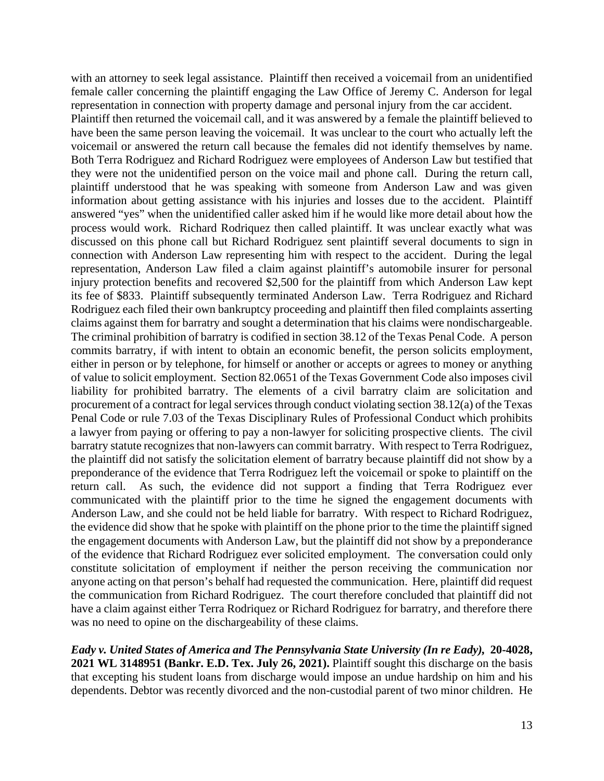with an attorney to seek legal assistance. Plaintiff then received a voicemail from an unidentified female caller concerning the plaintiff engaging the Law Office of Jeremy C. Anderson for legal representation in connection with property damage and personal injury from the car accident.

Plaintiff then returned the voicemail call, and it was answered by a female the plaintiff believed to have been the same person leaving the voicemail. It was unclear to the court who actually left the voicemail or answered the return call because the females did not identify themselves by name. Both Terra Rodriguez and Richard Rodriguez were employees of Anderson Law but testified that they were not the unidentified person on the voice mail and phone call. During the return call, plaintiff understood that he was speaking with someone from Anderson Law and was given information about getting assistance with his injuries and losses due to the accident. Plaintiff answered "yes" when the unidentified caller asked him if he would like more detail about how the process would work. Richard Rodriquez then called plaintiff. It was unclear exactly what was discussed on this phone call but Richard Rodriguez sent plaintiff several documents to sign in connection with Anderson Law representing him with respect to the accident. During the legal representation, Anderson Law filed a claim against plaintiff's automobile insurer for personal injury protection benefits and recovered \$2,500 for the plaintiff from which Anderson Law kept its fee of \$833. Plaintiff subsequently terminated Anderson Law. Terra Rodriguez and Richard Rodriguez each filed their own bankruptcy proceeding and plaintiff then filed complaints asserting claims against them for barratry and sought a determination that his claims were nondischargeable. The criminal prohibition of barratry is codified in section 38.12 of the Texas Penal Code. A person commits barratry, if with intent to obtain an economic benefit, the person solicits employment, either in person or by telephone, for himself or another or accepts or agrees to money or anything of value to solicit employment. Section 82.0651 of the Texas Government Code also imposes civil liability for prohibited barratry. The elements of a civil barratry claim are solicitation and procurement of a contract for legal services through conduct violating section 38.12(a) of the Texas Penal Code or rule 7.03 of the Texas Disciplinary Rules of Professional Conduct which prohibits a lawyer from paying or offering to pay a non-lawyer for soliciting prospective clients. The civil barratry statute recognizes that non-lawyers can commit barratry. With respect to Terra Rodriguez, the plaintiff did not satisfy the solicitation element of barratry because plaintiff did not show by a preponderance of the evidence that Terra Rodriguez left the voicemail or spoke to plaintiff on the return call. As such, the evidence did not support a finding that Terra Rodriguez ever communicated with the plaintiff prior to the time he signed the engagement documents with Anderson Law, and she could not be held liable for barratry. With respect to Richard Rodriguez, the evidence did show that he spoke with plaintiff on the phone prior to the time the plaintiff signed the engagement documents with Anderson Law, but the plaintiff did not show by a preponderance of the evidence that Richard Rodriguez ever solicited employment. The conversation could only constitute solicitation of employment if neither the person receiving the communication nor anyone acting on that person's behalf had requested the communication. Here, plaintiff did request the communication from Richard Rodriguez. The court therefore concluded that plaintiff did not have a claim against either Terra Rodriquez or Richard Rodriguez for barratry, and therefore there was no need to opine on the dischargeability of these claims.

*Eady v. United States of America and The Pennsylvania State University (In re Eady),* **20-4028, 2021 WL 3148951 (Bankr. E.D. Tex. July 26, 2021).** Plaintiff sought this discharge on the basis that excepting his student loans from discharge would impose an undue hardship on him and his dependents. Debtor was recently divorced and the non-custodial parent of two minor children. He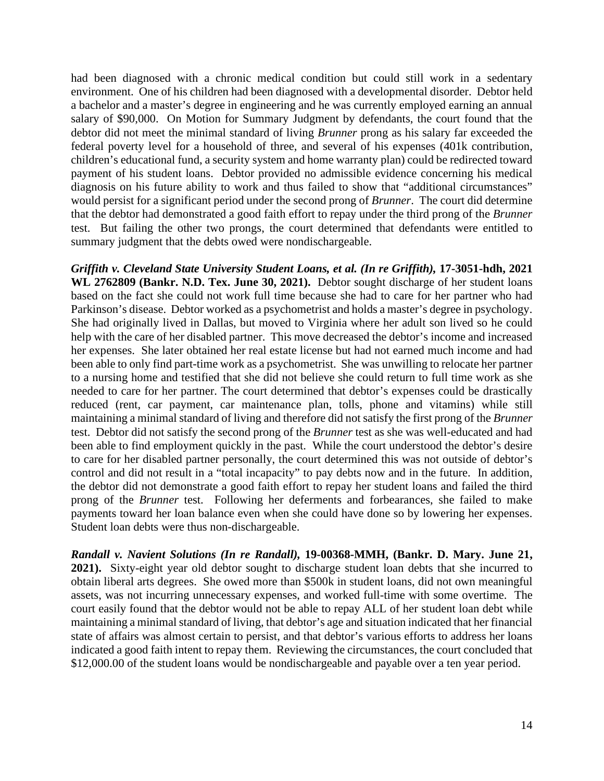had been diagnosed with a chronic medical condition but could still work in a sedentary environment. One of his children had been diagnosed with a developmental disorder. Debtor held a bachelor and a master's degree in engineering and he was currently employed earning an annual salary of \$90,000. On Motion for Summary Judgment by defendants, the court found that the debtor did not meet the minimal standard of living *Brunner* prong as his salary far exceeded the federal poverty level for a household of three, and several of his expenses (401k contribution, children's educational fund, a security system and home warranty plan) could be redirected toward payment of his student loans. Debtor provided no admissible evidence concerning his medical diagnosis on his future ability to work and thus failed to show that "additional circumstances" would persist for a significant period under the second prong of *Brunner*. The court did determine that the debtor had demonstrated a good faith effort to repay under the third prong of the *Brunner* test. But failing the other two prongs, the court determined that defendants were entitled to summary judgment that the debts owed were nondischargeable.

*Griffith v. Cleveland State University Student Loans, et al. (In re Griffith), 17-3051-hdh, 2021* **WL 2762809 (Bankr. N.D. Tex. June 30, 2021).** Debtor sought discharge of her student loans based on the fact she could not work full time because she had to care for her partner who had Parkinson's disease. Debtor worked as a psychometrist and holds a master's degree in psychology. She had originally lived in Dallas, but moved to Virginia where her adult son lived so he could help with the care of her disabled partner. This move decreased the debtor's income and increased her expenses. She later obtained her real estate license but had not earned much income and had been able to only find part-time work as a psychometrist. She was unwilling to relocate her partner to a nursing home and testified that she did not believe she could return to full time work as she needed to care for her partner. The court determined that debtor's expenses could be drastically reduced (rent, car payment, car maintenance plan, tolls, phone and vitamins) while still maintaining a minimal standard of living and therefore did not satisfy the first prong of the *Brunner* test. Debtor did not satisfy the second prong of the *Brunner* test as she was well-educated and had been able to find employment quickly in the past. While the court understood the debtor's desire to care for her disabled partner personally, the court determined this was not outside of debtor's control and did not result in a "total incapacity" to pay debts now and in the future. In addition, the debtor did not demonstrate a good faith effort to repay her student loans and failed the third prong of the *Brunner* test. Following her deferments and forbearances, she failed to make payments toward her loan balance even when she could have done so by lowering her expenses. Student loan debts were thus non-dischargeable.

*Randall v. Navient Solutions (In re Randall),* **19-00368-MMH, (Bankr. D. Mary. June 21, 2021).** Sixty-eight year old debtor sought to discharge student loan debts that she incurred to obtain liberal arts degrees. She owed more than \$500k in student loans, did not own meaningful assets, was not incurring unnecessary expenses, and worked full-time with some overtime. The court easily found that the debtor would not be able to repay ALL of her student loan debt while maintaining a minimal standard of living, that debtor's age and situation indicated that her financial state of affairs was almost certain to persist, and that debtor's various efforts to address her loans indicated a good faith intent to repay them. Reviewing the circumstances, the court concluded that \$12,000.00 of the student loans would be nondischargeable and payable over a ten year period.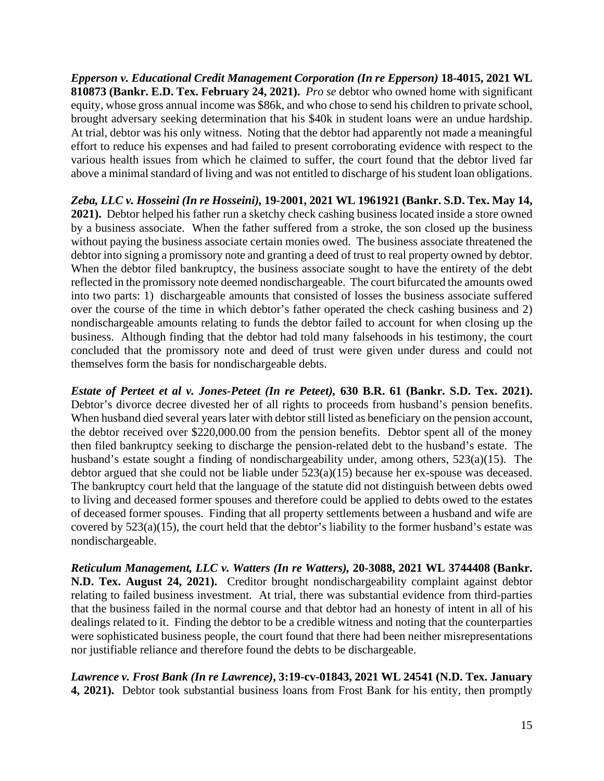*Epperson v. Educational Credit Management Corporation (In re Epperson)* **18-4015, 2021 WL 810873 (Bankr. E.D. Tex. February 24, 2021).** *Pro se* debtor who owned home with significant equity, whose gross annual income was \$86k, and who chose to send his children to private school, brought adversary seeking determination that his \$40k in student loans were an undue hardship. At trial, debtor was his only witness. Noting that the debtor had apparently not made a meaningful effort to reduce his expenses and had failed to present corroborating evidence with respect to the various health issues from which he claimed to suffer, the court found that the debtor lived far above a minimal standard of living and was not entitled to discharge of his student loan obligations.

*Zeba, LLC v. Hosseini (In re Hosseini),* **19-2001, 2021 WL 1961921 (Bankr. S.D. Tex. May 14, 2021).** Debtor helped his father run a sketchy check cashing business located inside a store owned by a business associate. When the father suffered from a stroke, the son closed up the business without paying the business associate certain monies owed. The business associate threatened the debtor into signing a promissory note and granting a deed of trust to real property owned by debtor. When the debtor filed bankruptcy, the business associate sought to have the entirety of the debt reflected in the promissory note deemed nondischargeable. The court bifurcated the amounts owed into two parts: 1) dischargeable amounts that consisted of losses the business associate suffered over the course of the time in which debtor's father operated the check cashing business and 2) nondischargeable amounts relating to funds the debtor failed to account for when closing up the business. Although finding that the debtor had told many falsehoods in his testimony, the court concluded that the promissory note and deed of trust were given under duress and could not themselves form the basis for nondischargeable debts.

*Estate of Perteet et al v. Jones-Peteet (In re Peteet),* **630 B.R. 61 (Bankr. S.D. Tex. 2021).** Debtor's divorce decree divested her of all rights to proceeds from husband's pension benefits. When husband died several years later with debtor still listed as beneficiary on the pension account, the debtor received over \$220,000.00 from the pension benefits. Debtor spent all of the money then filed bankruptcy seeking to discharge the pension-related debt to the husband's estate. The husband's estate sought a finding of nondischargeability under, among others, 523(a)(15). The debtor argued that she could not be liable under 523(a)(15) because her ex-spouse was deceased. The bankruptcy court held that the language of the statute did not distinguish between debts owed to living and deceased former spouses and therefore could be applied to debts owed to the estates of deceased former spouses. Finding that all property settlements between a husband and wife are covered by 523(a)(15), the court held that the debtor's liability to the former husband's estate was nondischargeable.

*Reticulum Management, LLC v. Watters (In re Watters),* **20-3088, 2021 WL 3744408 (Bankr. N.D. Tex. August 24, 2021).** Creditor brought nondischargeability complaint against debtor relating to failed business investment. At trial, there was substantial evidence from third-parties that the business failed in the normal course and that debtor had an honesty of intent in all of his dealings related to it. Finding the debtor to be a credible witness and noting that the counterparties were sophisticated business people, the court found that there had been neither misrepresentations nor justifiable reliance and therefore found the debts to be dischargeable.

*Lawrence v. Frost Bank (In re Lawrence)***, 3:19-cv-01843, 2021 WL 24541 (N.D. Tex. January 4, 2021).** Debtor took substantial business loans from Frost Bank for his entity, then promptly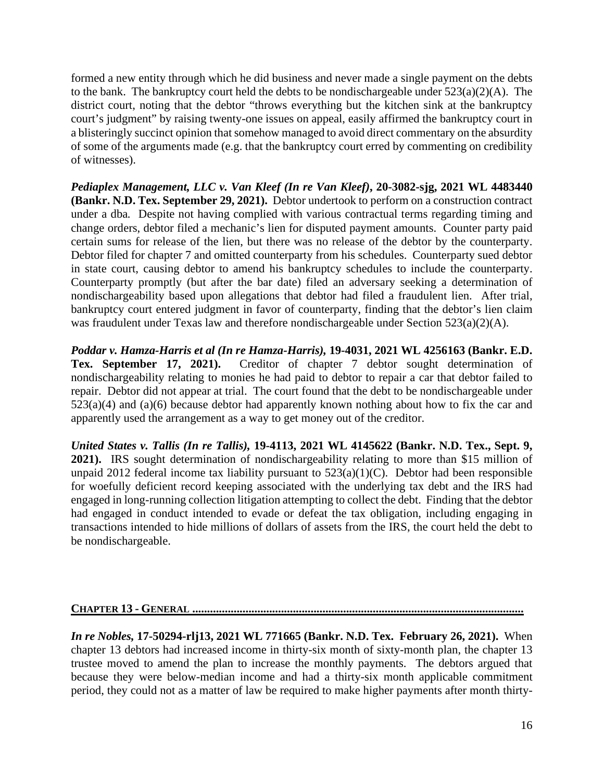formed a new entity through which he did business and never made a single payment on the debts to the bank. The bankruptcy court held the debts to be nondischargeable under  $523(a)(2)(A)$ . The district court, noting that the debtor "throws everything but the kitchen sink at the bankruptcy court's judgment" by raising twenty-one issues on appeal, easily affirmed the bankruptcy court in a blisteringly succinct opinion that somehow managed to avoid direct commentary on the absurdity of some of the arguments made (e.g. that the bankruptcy court erred by commenting on credibility of witnesses).

*Pediaplex Management, LLC v. Van Kleef (In re Van Kleef)***, 20-3082-sjg, 2021 WL 4483440 (Bankr. N.D. Tex. September 29, 2021).** Debtor undertook to perform on a construction contract under a dba*.* Despite not having complied with various contractual terms regarding timing and change orders, debtor filed a mechanic's lien for disputed payment amounts. Counter party paid certain sums for release of the lien, but there was no release of the debtor by the counterparty. Debtor filed for chapter 7 and omitted counterparty from his schedules. Counterparty sued debtor in state court, causing debtor to amend his bankruptcy schedules to include the counterparty. Counterparty promptly (but after the bar date) filed an adversary seeking a determination of nondischargeability based upon allegations that debtor had filed a fraudulent lien. After trial, bankruptcy court entered judgment in favor of counterparty, finding that the debtor's lien claim was fraudulent under Texas law and therefore nondischargeable under Section 523(a)(2)(A).

*Poddar v. Hamza-Harris et al (In re Hamza-Harris),* **19-4031, 2021 WL 4256163 (Bankr. E.D. Tex. September 17, 2021).** Creditor of chapter 7 debtor sought determination of nondischargeability relating to monies he had paid to debtor to repair a car that debtor failed to repair. Debtor did not appear at trial. The court found that the debt to be nondischargeable under  $523(a)(4)$  and  $(a)(6)$  because debtor had apparently known nothing about how to fix the car and apparently used the arrangement as a way to get money out of the creditor.

*United States v. Tallis (In re Tallis),* **19-4113, 2021 WL 4145622 (Bankr. N.D. Tex., Sept. 9, 2021).** IRS sought determination of nondischargeability relating to more than \$15 million of unpaid 2012 federal income tax liability pursuant to  $523(a)(1)(C)$ . Debtor had been responsible for woefully deficient record keeping associated with the underlying tax debt and the IRS had engaged in long-running collection litigation attempting to collect the debt. Finding that the debtor had engaged in conduct intended to evade or defeat the tax obligation, including engaging in transactions intended to hide millions of dollars of assets from the IRS, the court held the debt to be nondischargeable.

# **CHAPTER 13 - GENERAL ................................................................................................................**

*In re Nobles,* **17-50294-rlj13, 2021 WL 771665 (Bankr. N.D. Tex. February 26, 2021).** When chapter 13 debtors had increased income in thirty-six month of sixty-month plan, the chapter 13 trustee moved to amend the plan to increase the monthly payments. The debtors argued that because they were below-median income and had a thirty-six month applicable commitment period, they could not as a matter of law be required to make higher payments after month thirty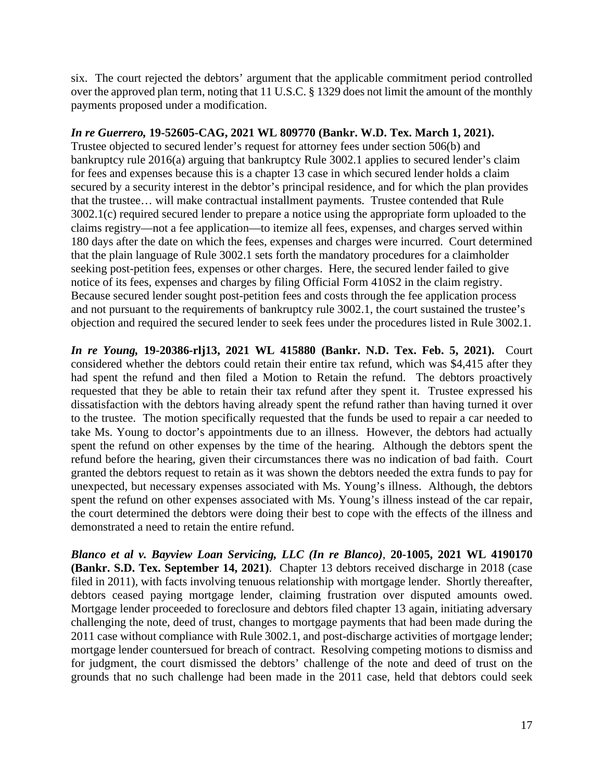six. The court rejected the debtors' argument that the applicable commitment period controlled over the approved plan term, noting that 11 U.S.C. § 1329 does not limit the amount of the monthly payments proposed under a modification.

## *In re Guerrero,* **19-52605-CAG, 2021 WL 809770 (Bankr. W.D. Tex. March 1, 2021).**

Trustee objected to secured lender's request for attorney fees under section 506(b) and bankruptcy rule 2016(a) arguing that bankruptcy Rule 3002.1 applies to secured lender's claim for fees and expenses because this is a chapter 13 case in which secured lender holds a claim secured by a security interest in the debtor's principal residence, and for which the plan provides that the trustee… will make contractual installment payments*.* Trustee contended that Rule 3002.1(c) required secured lender to prepare a notice using the appropriate form uploaded to the claims registry—not a fee application—to itemize all fees, expenses, and charges served within 180 days after the date on which the fees, expenses and charges were incurred. Court determined that the plain language of Rule 3002.1 sets forth the mandatory procedures for a claimholder seeking post-petition fees, expenses or other charges. Here, the secured lender failed to give notice of its fees, expenses and charges by filing Official Form 410S2 in the claim registry. Because secured lender sought post-petition fees and costs through the fee application process and not pursuant to the requirements of bankruptcy rule 3002.1, the court sustained the trustee's objection and required the secured lender to seek fees under the procedures listed in Rule 3002.1.

*In re Young,* **19-20386-rlj13, 2021 WL 415880 (Bankr. N.D. Tex. Feb. 5, 2021).** Court considered whether the debtors could retain their entire tax refund, which was \$4,415 after they had spent the refund and then filed a Motion to Retain the refund. The debtors proactively requested that they be able to retain their tax refund after they spent it. Trustee expressed his dissatisfaction with the debtors having already spent the refund rather than having turned it over to the trustee. The motion specifically requested that the funds be used to repair a car needed to take Ms. Young to doctor's appointments due to an illness. However, the debtors had actually spent the refund on other expenses by the time of the hearing. Although the debtors spent the refund before the hearing, given their circumstances there was no indication of bad faith. Court granted the debtors request to retain as it was shown the debtors needed the extra funds to pay for unexpected, but necessary expenses associated with Ms. Young's illness. Although, the debtors spent the refund on other expenses associated with Ms. Young's illness instead of the car repair, the court determined the debtors were doing their best to cope with the effects of the illness and demonstrated a need to retain the entire refund.

*Blanco et al v. Bayview Loan Servicing, LLC (In re Blanco)*, **20-1005, 2021 WL 4190170 (Bankr. S.D. Tex. September 14, 2021)**. Chapter 13 debtors received discharge in 2018 (case filed in 2011), with facts involving tenuous relationship with mortgage lender. Shortly thereafter, debtors ceased paying mortgage lender, claiming frustration over disputed amounts owed. Mortgage lender proceeded to foreclosure and debtors filed chapter 13 again, initiating adversary challenging the note, deed of trust, changes to mortgage payments that had been made during the 2011 case without compliance with Rule 3002.1, and post-discharge activities of mortgage lender; mortgage lender countersued for breach of contract. Resolving competing motions to dismiss and for judgment, the court dismissed the debtors' challenge of the note and deed of trust on the grounds that no such challenge had been made in the 2011 case, held that debtors could seek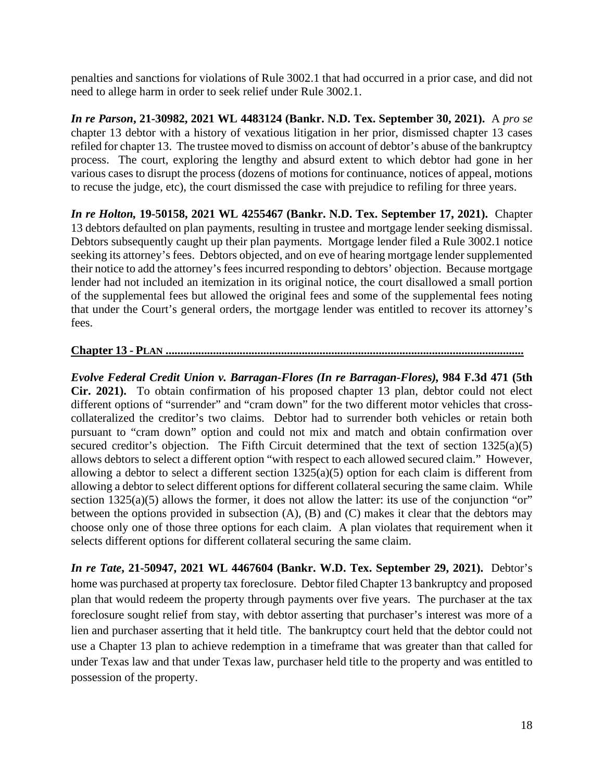penalties and sanctions for violations of Rule 3002.1 that had occurred in a prior case, and did not need to allege harm in order to seek relief under Rule 3002.1.

*In re Parson***, 21-30982, 2021 WL 4483124 (Bankr. N.D. Tex. September 30, 2021).** A *pro se* chapter 13 debtor with a history of vexatious litigation in her prior, dismissed chapter 13 cases refiled for chapter 13. The trustee moved to dismiss on account of debtor's abuse of the bankruptcy process. The court, exploring the lengthy and absurd extent to which debtor had gone in her various cases to disrupt the process (dozens of motions for continuance, notices of appeal, motions to recuse the judge, etc), the court dismissed the case with prejudice to refiling for three years.

*In re Holton,* **19-50158, 2021 WL 4255467 (Bankr. N.D. Tex. September 17, 2021).** Chapter 13 debtors defaulted on plan payments, resulting in trustee and mortgage lender seeking dismissal. Debtors subsequently caught up their plan payments. Mortgage lender filed a Rule 3002.1 notice seeking its attorney's fees. Debtors objected, and on eve of hearing mortgage lender supplemented their notice to add the attorney's fees incurred responding to debtors' objection. Because mortgage lender had not included an itemization in its original notice, the court disallowed a small portion of the supplemental fees but allowed the original fees and some of the supplemental fees noting that under the Court's general orders, the mortgage lender was entitled to recover its attorney's fees.

# **Chapter 13 - PLAN .........................................................................................................................**

*Evolve Federal Credit Union v. Barragan-Flores (In re Barragan-Flores),* **984 F.3d 471 (5th Cir. 2021).** To obtain confirmation of his proposed chapter 13 plan, debtor could not elect different options of "surrender" and "cram down" for the two different motor vehicles that crosscollateralized the creditor's two claims. Debtor had to surrender both vehicles or retain both pursuant to "cram down" option and could not mix and match and obtain confirmation over secured creditor's objection. The Fifth Circuit determined that the text of section 1325(a)(5) allows debtors to select a different option "with respect to each allowed secured claim." However, allowing a debtor to select a different section 1325(a)(5) option for each claim is different from allowing a debtor to select different options for different collateral securing the same claim. While section  $1325(a)(5)$  allows the former, it does not allow the latter: its use of the conjunction "or" between the options provided in subsection (A), (B) and (C) makes it clear that the debtors may choose only one of those three options for each claim. A plan violates that requirement when it selects different options for different collateral securing the same claim.

*In re Tate***, 21-50947, 2021 WL 4467604 (Bankr. W.D. Tex. September 29, 2021).** Debtor's home was purchased at property tax foreclosure. Debtor filed Chapter 13 bankruptcy and proposed plan that would redeem the property through payments over five years. The purchaser at the tax foreclosure sought relief from stay, with debtor asserting that purchaser's interest was more of a lien and purchaser asserting that it held title. The bankruptcy court held that the debtor could not use a Chapter 13 plan to achieve redemption in a timeframe that was greater than that called for under Texas law and that under Texas law, purchaser held title to the property and was entitled to possession of the property.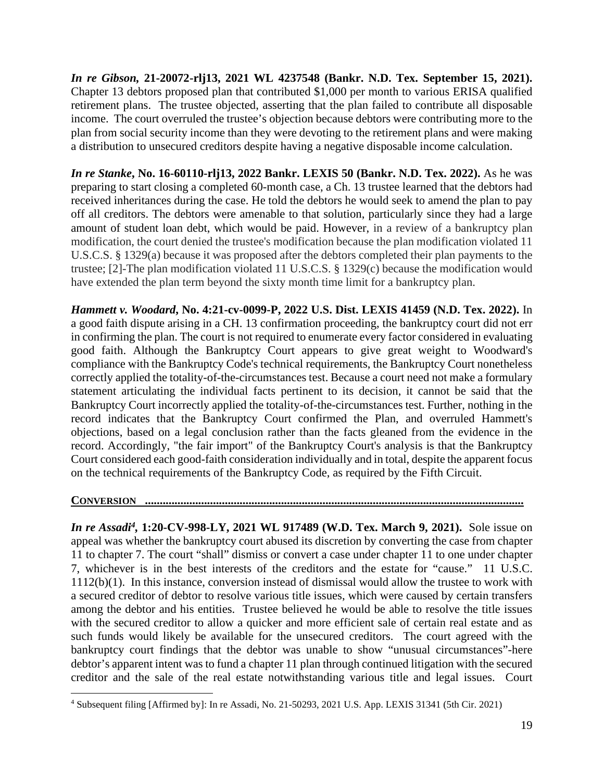*In re Gibson,* **21-20072-rlj13, 2021 WL 4237548 (Bankr. N.D. Tex. September 15, 2021).** Chapter 13 debtors proposed plan that contributed \$1,000 per month to various ERISA qualified retirement plans. The trustee objected, asserting that the plan failed to contribute all disposable income. The court overruled the trustee's objection because debtors were contributing more to the plan from social security income than they were devoting to the retirement plans and were making a distribution to unsecured creditors despite having a negative disposable income calculation.

*In re Stanke***, No. 16-60110-rlj13, 2022 Bankr. LEXIS 50 (Bankr. N.D. Tex. 2022).** As he was preparing to start closing a completed 60-month case, a Ch. 13 trustee learned that the debtors had received inheritances during the case. He told the debtors he would seek to amend the plan to pay off all creditors. The debtors were amenable to that solution, particularly since they had a large amount of student loan debt, which would be paid. However, in a review of a bankruptcy plan modification, the court denied the trustee's modification because the plan modification violated 11 U.S.C.S. § 1329(a) because it was proposed after the debtors completed their plan payments to the trustee; [2]-The plan modification violated 11 U.S.C.S. § 1329(c) because the modification would have extended the plan term beyond the sixty month time limit for a bankruptcy plan.

*Hammett v. Woodard***, No. 4:21-cv-0099-P, 2022 U.S. Dist. LEXIS 41459 (N.D. Tex. 2022).** In a good faith dispute arising in a CH. 13 confirmation proceeding, the bankruptcy court did not err in confirming the plan. The court is not required to enumerate every factor considered in evaluating good faith. Although the Bankruptcy Court appears to give great weight to Woodward's compliance with the Bankruptcy Code's technical requirements, the Bankruptcy Court nonetheless correctly applied the totality-of-the-circumstances test. Because a court need not make a formulary statement articulating the individual facts pertinent to its decision, it cannot be said that the Bankruptcy Court incorrectly applied the totality-of-the-circumstances test. Further, nothing in the record indicates that the Bankruptcy Court confirmed the Plan, and overruled Hammett's objections, based on a legal conclusion rather than the facts gleaned from the evidence in the record. Accordingly, "the fair import" of the Bankruptcy Court's analysis is that the Bankruptcy Court considered each good-faith consideration individually and in total, despite the apparent focus on the technical requirements of the Bankruptcy Code, as required by the Fifth Circuit.

### **CONVERSION ................................................................................................................................**

*In re Assadi4,* **1:20-CV-998-LY, 2021 WL 917489 (W.D. Tex. March 9, 2021).** Sole issue on appeal was whether the bankruptcy court abused its discretion by converting the case from chapter 11 to chapter 7. The court "shall" dismiss or convert a case under chapter 11 to one under chapter 7, whichever is in the best interests of the creditors and the estate for "cause." 11 U.S.C. 1112(b)(1). In this instance, conversion instead of dismissal would allow the trustee to work with a secured creditor of debtor to resolve various title issues, which were caused by certain transfers among the debtor and his entities. Trustee believed he would be able to resolve the title issues with the secured creditor to allow a quicker and more efficient sale of certain real estate and as such funds would likely be available for the unsecured creditors. The court agreed with the bankruptcy court findings that the debtor was unable to show "unusual circumstances"-here debtor's apparent intent was to fund a chapter 11 plan through continued litigation with the secured creditor and the sale of the real estate notwithstanding various title and legal issues. Court

<sup>4</sup> Subsequent filing [Affirmed by]: In re Assadi, No. 21-50293, 2021 U.S. App. LEXIS 31341 (5th Cir. 2021)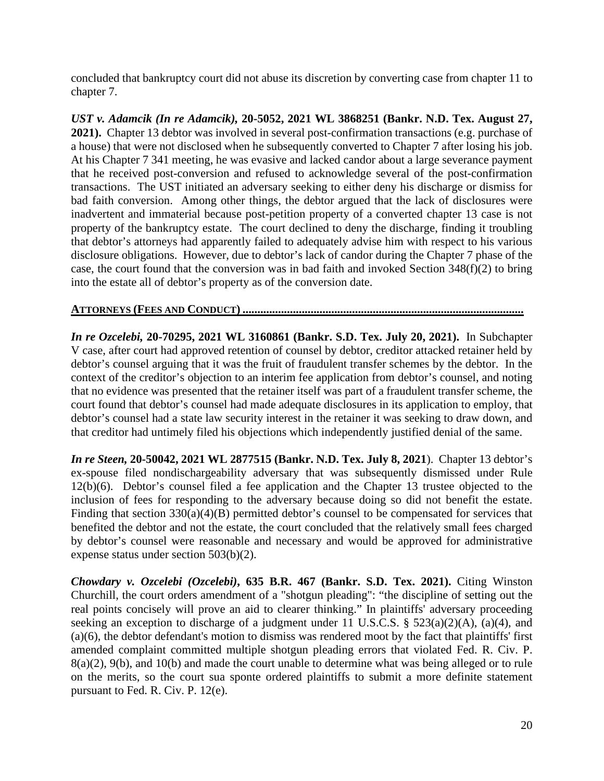concluded that bankruptcy court did not abuse its discretion by converting case from chapter 11 to chapter 7.

*UST v. Adamcik (In re Adamcik),* **20-5052, 2021 WL 3868251 (Bankr. N.D. Tex. August 27, 2021).** Chapter 13 debtor was involved in several post-confirmation transactions (e.g. purchase of a house) that were not disclosed when he subsequently converted to Chapter 7 after losing his job. At his Chapter 7 341 meeting, he was evasive and lacked candor about a large severance payment that he received post-conversion and refused to acknowledge several of the post-confirmation transactions. The UST initiated an adversary seeking to either deny his discharge or dismiss for bad faith conversion. Among other things, the debtor argued that the lack of disclosures were inadvertent and immaterial because post-petition property of a converted chapter 13 case is not property of the bankruptcy estate. The court declined to deny the discharge, finding it troubling that debtor's attorneys had apparently failed to adequately advise him with respect to his various disclosure obligations. However, due to debtor's lack of candor during the Chapter 7 phase of the case, the court found that the conversion was in bad faith and invoked Section 348(f)(2) to bring into the estate all of debtor's property as of the conversion date.

## **ATTORNEYS (FEES AND CONDUCT) ...............................................................................................**

*In re Ozcelebi,* **20-70295, 2021 WL 3160861 (Bankr. S.D. Tex. July 20, 2021).** In Subchapter V case, after court had approved retention of counsel by debtor, creditor attacked retainer held by debtor's counsel arguing that it was the fruit of fraudulent transfer schemes by the debtor. In the context of the creditor's objection to an interim fee application from debtor's counsel, and noting that no evidence was presented that the retainer itself was part of a fraudulent transfer scheme, the court found that debtor's counsel had made adequate disclosures in its application to employ, that debtor's counsel had a state law security interest in the retainer it was seeking to draw down, and that creditor had untimely filed his objections which independently justified denial of the same.

*In re Steen,* **20-50042, 2021 WL 2877515 (Bankr. N.D. Tex. July 8, 2021**). Chapter 13 debtor's ex-spouse filed nondischargeability adversary that was subsequently dismissed under Rule 12(b)(6). Debtor's counsel filed a fee application and the Chapter 13 trustee objected to the inclusion of fees for responding to the adversary because doing so did not benefit the estate. Finding that section  $330(a)(4)(B)$  permitted debtor's counsel to be compensated for services that benefited the debtor and not the estate, the court concluded that the relatively small fees charged by debtor's counsel were reasonable and necessary and would be approved for administrative expense status under section 503(b)(2).

*Chowdary v. Ozcelebi (Ozcelebi)***, 635 B.R. 467 (Bankr. S.D. Tex. 2021).** Citing Winston Churchill, the court orders amendment of a "shotgun pleading": "the discipline of setting out the real points concisely will prove an aid to clearer thinking." In plaintiffs' adversary proceeding seeking an exception to discharge of a judgment under 11 U.S.C.S. § 523(a)(2)(A), (a)(4), and (a)(6), the debtor defendant's motion to dismiss was rendered moot by the fact that plaintiffs' first amended complaint committed multiple shotgun pleading errors that violated Fed. R. Civ. P. 8(a)(2), 9(b), and 10(b) and made the court unable to determine what was being alleged or to rule on the merits, so the court sua sponte ordered plaintiffs to submit a more definite statement pursuant to Fed. R. Civ. P. 12(e).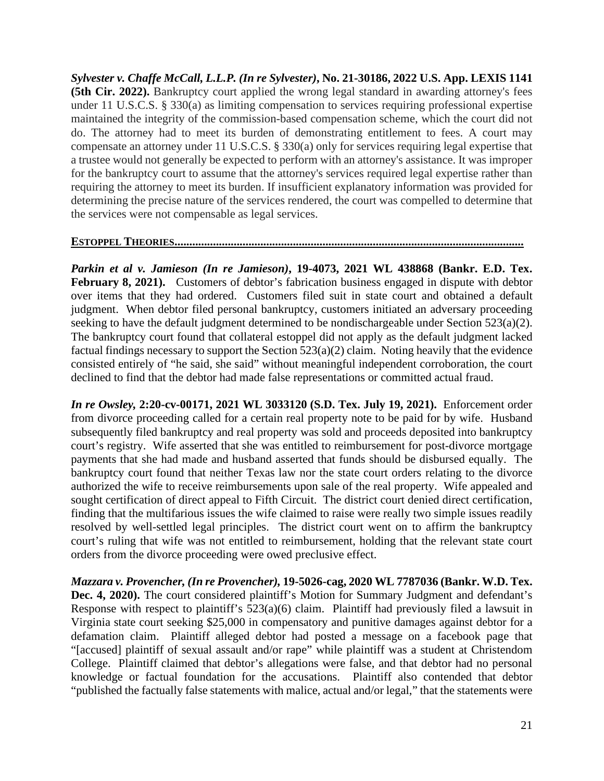*Sylvester v. Chaffe McCall, L.L.P. (In re Sylvester)***, No. 21-30186, 2022 U.S. App. LEXIS 1141 (5th Cir. 2022).** Bankruptcy court applied the wrong legal standard in awarding attorney's fees under 11 U.S.C.S. § 330(a) as limiting compensation to services requiring professional expertise maintained the integrity of the commission-based compensation scheme, which the court did not do. The attorney had to meet its burden of demonstrating entitlement to fees. A court may compensate an attorney under 11 U.S.C.S. § 330(a) only for services requiring legal expertise that a trustee would not generally be expected to perform with an attorney's assistance. It was improper for the bankruptcy court to assume that the attorney's services required legal expertise rather than requiring the attorney to meet its burden. If insufficient explanatory information was provided for determining the precise nature of the services rendered, the court was compelled to determine that the services were not compensable as legal services.

#### **ESTOPPEL THEORIES......................................................................................................................**

*Parkin et al v. Jamieson (In re Jamieson)***, 19-4073, 2021 WL 438868 (Bankr. E.D. Tex.**  February 8, 2021). Customers of debtor's fabrication business engaged in dispute with debtor over items that they had ordered. Customers filed suit in state court and obtained a default judgment. When debtor filed personal bankruptcy, customers initiated an adversary proceeding seeking to have the default judgment determined to be nondischargeable under Section 523(a)(2). The bankruptcy court found that collateral estoppel did not apply as the default judgment lacked factual findings necessary to support the Section 523(a)(2) claim. Noting heavily that the evidence consisted entirely of "he said, she said" without meaningful independent corroboration, the court declined to find that the debtor had made false representations or committed actual fraud.

*In re Owsley,* **2:20-cv-00171, 2021 WL 3033120 (S.D. Tex. July 19, 2021).** Enforcement order from divorce proceeding called for a certain real property note to be paid for by wife. Husband subsequently filed bankruptcy and real property was sold and proceeds deposited into bankruptcy court's registry. Wife asserted that she was entitled to reimbursement for post-divorce mortgage payments that she had made and husband asserted that funds should be disbursed equally. The bankruptcy court found that neither Texas law nor the state court orders relating to the divorce authorized the wife to receive reimbursements upon sale of the real property. Wife appealed and sought certification of direct appeal to Fifth Circuit. The district court denied direct certification, finding that the multifarious issues the wife claimed to raise were really two simple issues readily resolved by well-settled legal principles. The district court went on to affirm the bankruptcy court's ruling that wife was not entitled to reimbursement, holding that the relevant state court orders from the divorce proceeding were owed preclusive effect.

*Mazzara v. Provencher, (In re Provencher),* **19-5026-cag, 2020 WL 7787036 (Bankr. W.D. Tex.**  Dec. 4, 2020). The court considered plaintiff's Motion for Summary Judgment and defendant's Response with respect to plaintiff's  $523(a)(6)$  claim. Plaintiff had previously filed a lawsuit in Virginia state court seeking \$25,000 in compensatory and punitive damages against debtor for a defamation claim. Plaintiff alleged debtor had posted a message on a facebook page that "[accused] plaintiff of sexual assault and/or rape" while plaintiff was a student at Christendom College. Plaintiff claimed that debtor's allegations were false, and that debtor had no personal knowledge or factual foundation for the accusations. Plaintiff also contended that debtor "published the factually false statements with malice, actual and/or legal," that the statements were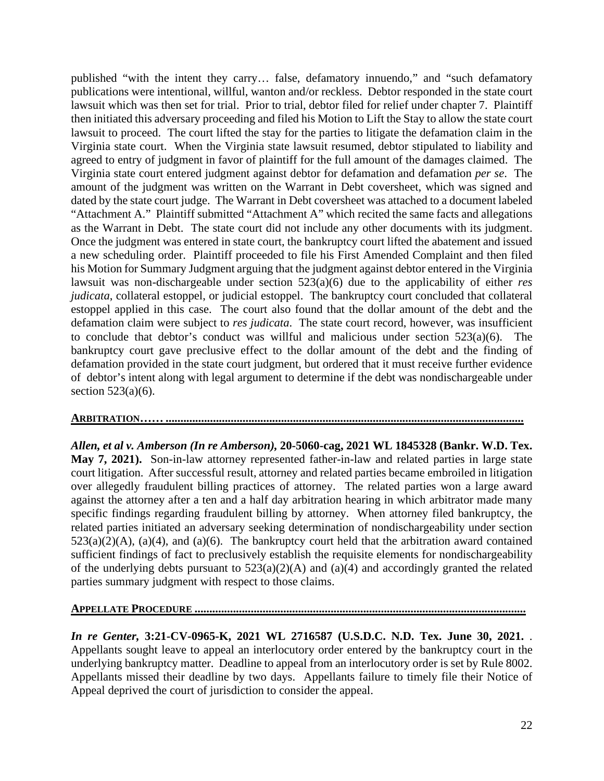published "with the intent they carry… false, defamatory innuendo," and "such defamatory publications were intentional, willful, wanton and/or reckless. Debtor responded in the state court lawsuit which was then set for trial. Prior to trial, debtor filed for relief under chapter 7. Plaintiff then initiated this adversary proceeding and filed his Motion to Lift the Stay to allow the state court lawsuit to proceed. The court lifted the stay for the parties to litigate the defamation claim in the Virginia state court. When the Virginia state lawsuit resumed, debtor stipulated to liability and agreed to entry of judgment in favor of plaintiff for the full amount of the damages claimed. The Virginia state court entered judgment against debtor for defamation and defamation *per se*. The amount of the judgment was written on the Warrant in Debt coversheet, which was signed and dated by the state court judge. The Warrant in Debt coversheet was attached to a document labeled "Attachment A." Plaintiff submitted "Attachment A" which recited the same facts and allegations as the Warrant in Debt. The state court did not include any other documents with its judgment. Once the judgment was entered in state court, the bankruptcy court lifted the abatement and issued a new scheduling order. Plaintiff proceeded to file his First Amended Complaint and then filed his Motion for Summary Judgment arguing that the judgment against debtor entered in the Virginia lawsuit was non-dischargeable under section 523(a)(6) due to the applicability of either *res judicata*, collateral estoppel, or judicial estoppel. The bankruptcy court concluded that collateral estoppel applied in this case. The court also found that the dollar amount of the debt and the defamation claim were subject to *res judicata*. The state court record, however, was insufficient to conclude that debtor's conduct was willful and malicious under section 523(a)(6). The bankruptcy court gave preclusive effect to the dollar amount of the debt and the finding of defamation provided in the state court judgment, but ordered that it must receive further evidence of debtor's intent along with legal argument to determine if the debt was nondischargeable under section  $523(a)(6)$ .

### **ARBITRATION…… .........................................................................................................................**

*Allen, et al v. Amberson (In re Amberson),* **20-5060-cag, 2021 WL 1845328 (Bankr. W.D. Tex. May 7, 2021).** Son-in-law attorney represented father-in-law and related parties in large state court litigation. After successful result, attorney and related parties became embroiled in litigation over allegedly fraudulent billing practices of attorney. The related parties won a large award against the attorney after a ten and a half day arbitration hearing in which arbitrator made many specific findings regarding fraudulent billing by attorney. When attorney filed bankruptcy, the related parties initiated an adversary seeking determination of nondischargeability under section  $523(a)(2)(A)$ ,  $(a)(4)$ , and  $(a)(6)$ . The bankruptcy court held that the arbitration award contained sufficient findings of fact to preclusively establish the requisite elements for nondischargeability of the underlying debts pursuant to  $523(a)(2)(A)$  and  $(a)(4)$  and accordingly granted the related parties summary judgment with respect to those claims.

### **APPELLATE PROCEDURE ................................................................................................................**

*In re Genter,* **3:21-CV-0965-K, 2021 WL 2716587 (U.S.D.C. N.D. Tex. June 30, 2021.** . Appellants sought leave to appeal an interlocutory order entered by the bankruptcy court in the underlying bankruptcy matter. Deadline to appeal from an interlocutory order is set by Rule 8002. Appellants missed their deadline by two days. Appellants failure to timely file their Notice of Appeal deprived the court of jurisdiction to consider the appeal.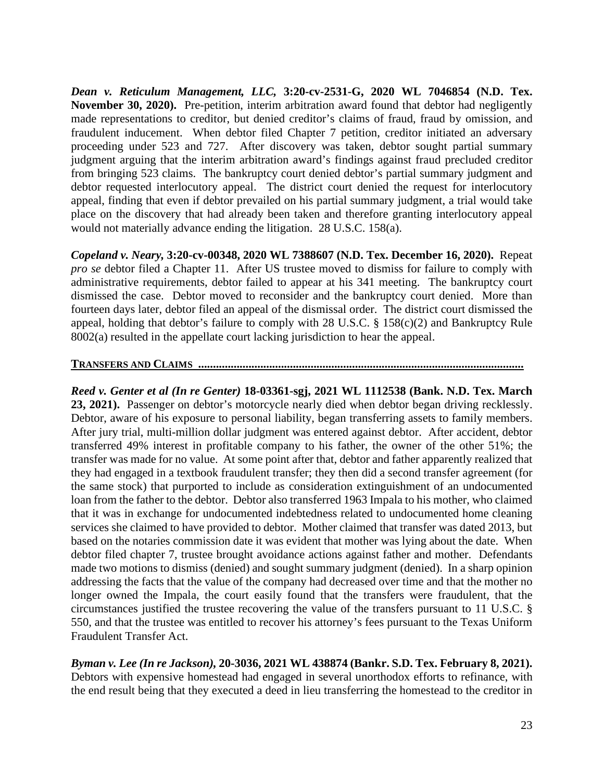*Dean v. Reticulum Management, LLC,* **3:20-cv-2531-G, 2020 WL 7046854 (N.D. Tex. November 30, 2020).** Pre-petition, interim arbitration award found that debtor had negligently made representations to creditor, but denied creditor's claims of fraud, fraud by omission, and fraudulent inducement. When debtor filed Chapter 7 petition, creditor initiated an adversary proceeding under 523 and 727. After discovery was taken, debtor sought partial summary judgment arguing that the interim arbitration award's findings against fraud precluded creditor from bringing 523 claims. The bankruptcy court denied debtor's partial summary judgment and debtor requested interlocutory appeal. The district court denied the request for interlocutory appeal, finding that even if debtor prevailed on his partial summary judgment, a trial would take place on the discovery that had already been taken and therefore granting interlocutory appeal would not materially advance ending the litigation. 28 U.S.C. 158(a).

*Copeland v. Neary,* **3:20-cv-00348, 2020 WL 7388607 (N.D. Tex. December 16, 2020).** Repeat *pro se* debtor filed a Chapter 11. After US trustee moved to dismiss for failure to comply with administrative requirements, debtor failed to appear at his 341 meeting. The bankruptcy court dismissed the case. Debtor moved to reconsider and the bankruptcy court denied. More than fourteen days later, debtor filed an appeal of the dismissal order. The district court dismissed the appeal, holding that debtor's failure to comply with 28 U.S.C. § 158(c)(2) and Bankruptcy Rule 8002(a) resulted in the appellate court lacking jurisdiction to hear the appeal.

### **TRANSFERS AND CLAIMS ..............................................................................................................**

*Reed v. Genter et al (In re Genter)* **18-03361-sgj, 2021 WL 1112538 (Bank. N.D. Tex. March 23, 2021).** Passenger on debtor's motorcycle nearly died when debtor began driving recklessly. Debtor, aware of his exposure to personal liability, began transferring assets to family members. After jury trial, multi-million dollar judgment was entered against debtor. After accident, debtor transferred 49% interest in profitable company to his father, the owner of the other 51%; the transfer was made for no value. At some point after that, debtor and father apparently realized that they had engaged in a textbook fraudulent transfer; they then did a second transfer agreement (for the same stock) that purported to include as consideration extinguishment of an undocumented loan from the father to the debtor. Debtor also transferred 1963 Impala to his mother, who claimed that it was in exchange for undocumented indebtedness related to undocumented home cleaning services she claimed to have provided to debtor. Mother claimed that transfer was dated 2013, but based on the notaries commission date it was evident that mother was lying about the date. When debtor filed chapter 7, trustee brought avoidance actions against father and mother. Defendants made two motions to dismiss (denied) and sought summary judgment (denied). In a sharp opinion addressing the facts that the value of the company had decreased over time and that the mother no longer owned the Impala, the court easily found that the transfers were fraudulent, that the circumstances justified the trustee recovering the value of the transfers pursuant to 11 U.S.C. § 550, and that the trustee was entitled to recover his attorney's fees pursuant to the Texas Uniform Fraudulent Transfer Act.

*Byman v. Lee (In re Jackson),* **20-3036, 2021 WL 438874 (Bankr. S.D. Tex. February 8, 2021).** Debtors with expensive homestead had engaged in several unorthodox efforts to refinance, with the end result being that they executed a deed in lieu transferring the homestead to the creditor in